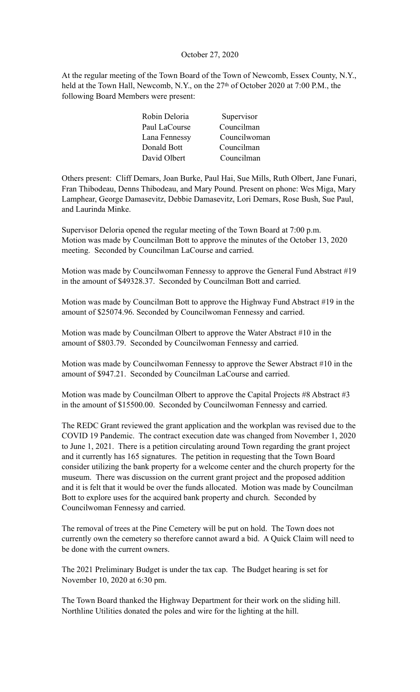#### October 27, 2020

At the regular meeting of the Town Board of the Town of Newcomb, Essex County, N.Y., held at the Town Hall, Newcomb, N.Y., on the 27<sup>th</sup> of October 2020 at 7:00 P.M., the following Board Members were present:

| Robin Deloria | Supervisor   |
|---------------|--------------|
| Paul LaCourse | Councilman   |
| Lana Fennessy | Councilwoman |
| Donald Bott   | Councilman   |
| David Olbert  | Councilman   |

Others present: Cliff Demars, Joan Burke, Paul Hai, Sue Mills, Ruth Olbert, Jane Funari, Fran Thibodeau, Denns Thibodeau, and Mary Pound. Present on phone: Wes Miga, Mary Lamphear, George Damasevitz, Debbie Damasevitz, Lori Demars, Rose Bush, Sue Paul, and Laurinda Minke.

Supervisor Deloria opened the regular meeting of the Town Board at 7:00 p.m. Motion was made by Councilman Bott to approve the minutes of the October 13, 2020 meeting. Seconded by Councilman LaCourse and carried.

Motion was made by Councilwoman Fennessy to approve the General Fund Abstract #19 in the amount of \$49328.37. Seconded by Councilman Bott and carried.

Motion was made by Councilman Bott to approve the Highway Fund Abstract #19 in the amount of \$25074.96. Seconded by Councilwoman Fennessy and carried.

Motion was made by Councilman Olbert to approve the Water Abstract #10 in the amount of \$803.79. Seconded by Councilwoman Fennessy and carried.

Motion was made by Councilwoman Fennessy to approve the Sewer Abstract #10 in the amount of \$947.21. Seconded by Councilman LaCourse and carried.

Motion was made by Councilman Olbert to approve the Capital Projects #8 Abstract #3 in the amount of \$15500.00. Seconded by Councilwoman Fennessy and carried.

The REDC Grant reviewed the grant application and the workplan was revised due to the COVID 19 Pandemic. The contract execution date was changed from November 1, 2020 to June 1, 2021. There is a petition circulating around Town regarding the grant project and it currently has 165 signatures. The petition in requesting that the Town Board consider utilizing the bank property for a welcome center and the church property for the museum. There was discussion on the current grant project and the proposed addition and it is felt that it would be over the funds allocated. Motion was made by Councilman Bott to explore uses for the acquired bank property and church. Seconded by Councilwoman Fennessy and carried.

The removal of trees at the Pine Cemetery will be put on hold. The Town does not currently own the cemetery so therefore cannot award a bid. A Quick Claim will need to be done with the current owners.

The 2021 Preliminary Budget is under the tax cap. The Budget hearing is set for November 10, 2020 at 6:30 pm.

The Town Board thanked the Highway Department for their work on the sliding hill. Northline Utilities donated the poles and wire for the lighting at the hill.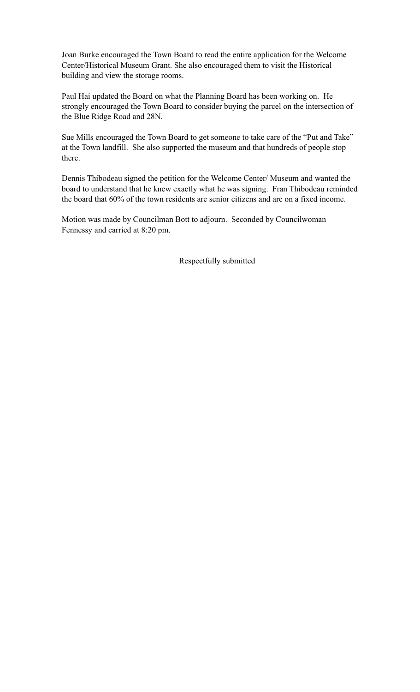Joan Burke encouraged the Town Board to read the entire application for the Welcome Center/Historical Museum Grant. She also encouraged them to visit the Historical building and view the storage rooms.

Paul Hai updated the Board on what the Planning Board has been working on. He strongly encouraged the Town Board to consider buying the parcel on the intersection of the Blue Ridge Road and 28N.

Sue Mills encouraged the Town Board to get someone to take care of the "Put and Take" at the Town landfill. She also supported the museum and that hundreds of people stop there.

Dennis Thibodeau signed the petition for the Welcome Center/ Museum and wanted the board to understand that he knew exactly what he was signing. Fran Thibodeau reminded the board that 60% of the town residents are senior citizens and are on a fixed income.

Motion was made by Councilman Bott to adjourn. Seconded by Councilwoman Fennessy and carried at 8:20 pm.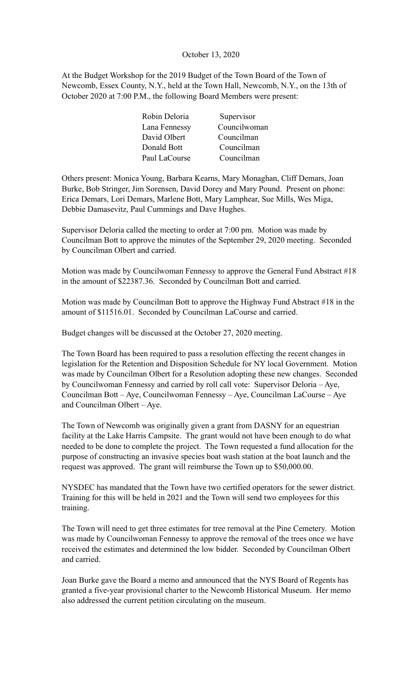#### October 13, 2020

At the Budget Workshop for the 2019 Budget of the Town Board of the Town of Newcomb, Essex County, N.Y., held at the Town Hall, Newcomb, N.Y., on the 13th of October 2020 at 7:00 P.M., the following Board Members were present:

| Robin Deloria | Supervisor   |
|---------------|--------------|
| Lana Fennessy | Councilwoman |
| David Olbert  | Councilman   |
| Donald Bott   | Councilman   |
| Paul LaCourse | Councilman   |

Others present: Monica Young, Barbara Kearns, Mary Monaghan, Cliff Demars, Joan Burke, Bob Stringer, Jim Sorensen, David Dorey and Mary Pound. Present on phone: Erica Demars, Lori Demars, Marlene Bott, Mary Lamphear, Sue Mills, Wes Miga, Debbie Damasevitz, Paul Cummings and Dave Hughes.

Supervisor Deloria called the meeting to order at 7:00 pm. Motion was made by Councilman Bott to approve the minutes of the September 29, 2020 meeting. Seconded by Councilman Olbert and carried.

Motion was made by Councilwoman Fennessy to approve the General Fund Abstract #18 in the amount of \$22387.36. Seconded by Councilman Bott and carried.

Motion was made by Councilman Bott to approve the Highway Fund Abstract #18 in the amount of \$11516.01. Seconded by Councilman LaCourse and carried.

Budget changes will be discussed at the October 27, 2020 meeting.

The Town Board has been required to pass a resolution effecting the recent changes in legislation for the Retention and Disposition Schedule for NY local Government. Motion was made by Councilman Olbert for a Resolution adopting these new changes. Seconded by Councilwoman Fennessy and carried by roll call vote: Supervisor Deloria – Aye, Councilman Bott – Aye, Councilwoman Fennessy – Aye, Councilman LaCourse – Aye and Councilman Olbert – Aye.

The Town of Newcomb was originally given a grant from DASNY for an equestrian facility at the Lake Harris Campsite. The grant would not have been enough to do what needed to be done to complete the project. The Town requested a fund allocation for the purpose of constructing an invasive species boat wash station at the boat launch and the request was approved. The grant will reimburse the Town up to \$50,000.00.

NYSDEC has mandated that the Town have two certified operators for the sewer district. Training for this will be held in 2021 and the Town will send two employees for this training.

The Town will need to get three estimates for tree removal at the Pine Cemetery. Motion was made by Councilwoman Fennessy to approve the removal of the trees once we have received the estimates and determined the low bidder. Seconded by Councilman Olbert and carried.

Joan Burke gave the Board a memo and announced that the NYS Board of Regents has granted a five-year provisional charter to the Newcomb Historical Museum. Her memo also addressed the current petition circulating on the museum.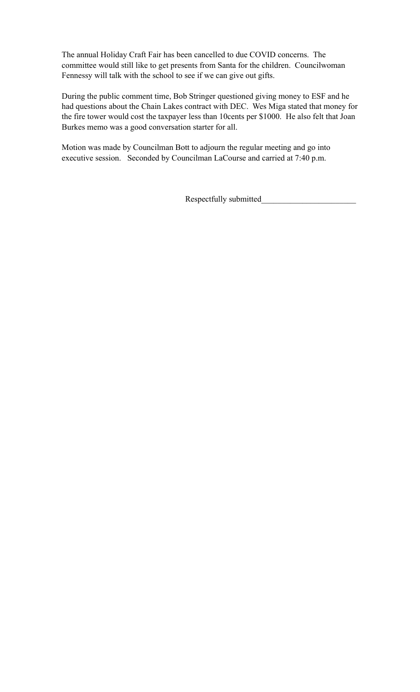The annual Holiday Craft Fair has been cancelled to due COVID concerns. The committee would still like to get presents from Santa for the children. Councilwoman Fennessy will talk with the school to see if we can give out gifts.

During the public comment time, Bob Stringer questioned giving money to ESF and he had questions about the Chain Lakes contract with DEC. Wes Miga stated that money for the fire tower would cost the taxpayer less than 10cents per \$1000. He also felt that Joan Burkes memo was a good conversation starter for all.

Motion was made by Councilman Bott to adjourn the regular meeting and go into executive session. Seconded by Councilman LaCourse and carried at 7:40 p.m.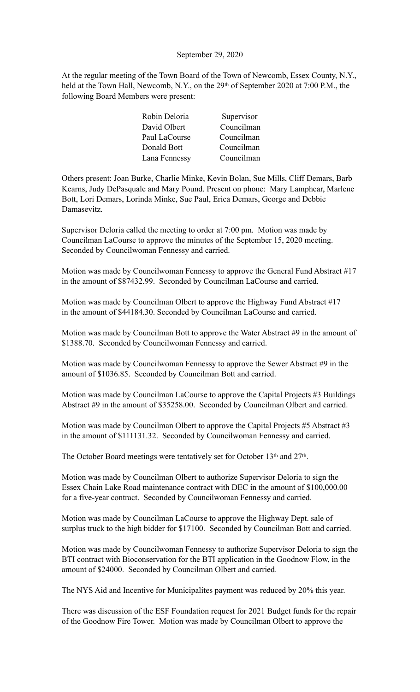#### September 29, 2020

At the regular meeting of the Town Board of the Town of Newcomb, Essex County, N.Y., held at the Town Hall, Newcomb, N.Y., on the 29<sup>th</sup> of September 2020 at 7:00 P.M., the following Board Members were present:

| Robin Deloria<br>Supervisor |
|-----------------------------|
| David Olbert<br>Councilman  |
| Councilman<br>Paul LaCourse |
| Donald Bott<br>Councilman   |
| Councilman<br>Lana Fennessy |

Others present: Joan Burke, Charlie Minke, Kevin Bolan, Sue Mills, Cliff Demars, Barb Kearns, Judy DePasquale and Mary Pound. Present on phone: Mary Lamphear, Marlene Bott, Lori Demars, Lorinda Minke, Sue Paul, Erica Demars, George and Debbie Damasevitz.

Supervisor Deloria called the meeting to order at 7:00 pm. Motion was made by Councilman LaCourse to approve the minutes of the September 15, 2020 meeting. Seconded by Councilwoman Fennessy and carried.

Motion was made by Councilwoman Fennessy to approve the General Fund Abstract #17 in the amount of \$87432.99. Seconded by Councilman LaCourse and carried.

Motion was made by Councilman Olbert to approve the Highway Fund Abstract #17 in the amount of \$44184.30. Seconded by Councilman LaCourse and carried.

Motion was made by Councilman Bott to approve the Water Abstract #9 in the amount of \$1388.70. Seconded by Councilwoman Fennessy and carried.

Motion was made by Councilwoman Fennessy to approve the Sewer Abstract #9 in the amount of \$1036.85. Seconded by Councilman Bott and carried.

Motion was made by Councilman LaCourse to approve the Capital Projects #3 Buildings Abstract #9 in the amount of \$35258.00. Seconded by Councilman Olbert and carried.

Motion was made by Councilman Olbert to approve the Capital Projects #5 Abstract #3 in the amount of \$111131.32. Seconded by Councilwoman Fennessy and carried.

The October Board meetings were tentatively set for October 13<sup>th</sup> and 27<sup>th</sup>.

Motion was made by Councilman Olbert to authorize Supervisor Deloria to sign the Essex Chain Lake Road maintenance contract with DEC in the amount of \$100,000.00 for a five-year contract. Seconded by Councilwoman Fennessy and carried.

Motion was made by Councilman LaCourse to approve the Highway Dept. sale of surplus truck to the high bidder for \$17100. Seconded by Councilman Bott and carried.

Motion was made by Councilwoman Fennessy to authorize Supervisor Deloria to sign the BTI contract with Bioconservation for the BTI application in the Goodnow Flow, in the amount of \$24000. Seconded by Councilman Olbert and carried.

The NYS Aid and Incentive for Municipalites payment was reduced by 20% this year.

There was discussion of the ESF Foundation request for 2021 Budget funds for the repair of the Goodnow Fire Tower. Motion was made by Councilman Olbert to approve the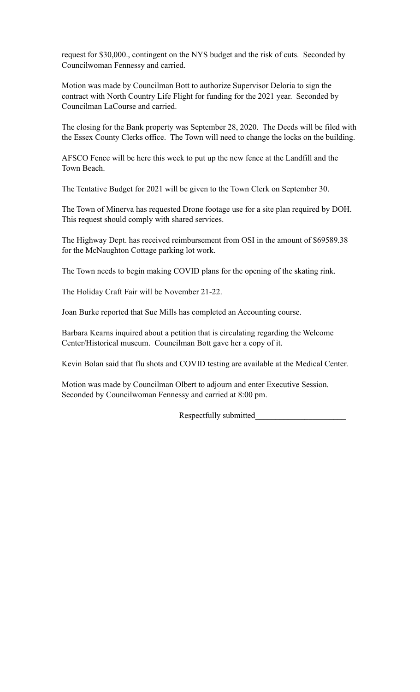request for \$30,000., contingent on the NYS budget and the risk of cuts. Seconded by Councilwoman Fennessy and carried.

Motion was made by Councilman Bott to authorize Supervisor Deloria to sign the contract with North Country Life Flight for funding for the 2021 year. Seconded by Councilman LaCourse and carried.

The closing for the Bank property was September 28, 2020. The Deeds will be filed with the Essex County Clerks office. The Town will need to change the locks on the building.

AFSCO Fence will be here this week to put up the new fence at the Landfill and the Town Beach.

The Tentative Budget for 2021 will be given to the Town Clerk on September 30.

The Town of Minerva has requested Drone footage use for a site plan required by DOH. This request should comply with shared services.

The Highway Dept. has received reimbursement from OSI in the amount of \$69589.38 for the McNaughton Cottage parking lot work.

The Town needs to begin making COVID plans for the opening of the skating rink.

The Holiday Craft Fair will be November 21-22.

Joan Burke reported that Sue Mills has completed an Accounting course.

Barbara Kearns inquired about a petition that is circulating regarding the Welcome Center/Historical museum. Councilman Bott gave her a copy of it.

Kevin Bolan said that flu shots and COVID testing are available at the Medical Center.

Motion was made by Councilman Olbert to adjourn and enter Executive Session. Seconded by Councilwoman Fennessy and carried at 8:00 pm.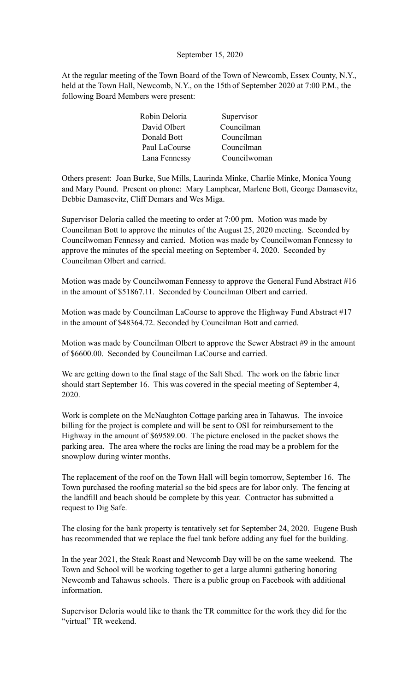#### September 15, 2020

At the regular meeting of the Town Board of the Town of Newcomb, Essex County, N.Y., held at the Town Hall, Newcomb, N.Y., on the 15th of September 2020 at 7:00 P.M., the following Board Members were present:

| Robin Deloria | Supervisor   |
|---------------|--------------|
| David Olbert  | Councilman   |
| Donald Bott   | Councilman   |
| Paul LaCourse | Councilman   |
| Lana Fennessy | Councilwoman |

Others present: Joan Burke, Sue Mills, Laurinda Minke, Charlie Minke, Monica Young and Mary Pound. Present on phone: Mary Lamphear, Marlene Bott, George Damasevitz, Debbie Damasevitz, Cliff Demars and Wes Miga.

Supervisor Deloria called the meeting to order at 7:00 pm. Motion was made by Councilman Bott to approve the minutes of the August 25, 2020 meeting. Seconded by Councilwoman Fennessy and carried. Motion was made by Councilwoman Fennessy to approve the minutes of the special meeting on September 4, 2020. Seconded by Councilman Olbert and carried.

Motion was made by Councilwoman Fennessy to approve the General Fund Abstract #16 in the amount of \$51867.11. Seconded by Councilman Olbert and carried.

Motion was made by Councilman LaCourse to approve the Highway Fund Abstract #17 in the amount of \$48364.72. Seconded by Councilman Bott and carried.

Motion was made by Councilman Olbert to approve the Sewer Abstract #9 in the amount of \$6600.00. Seconded by Councilman LaCourse and carried.

We are getting down to the final stage of the Salt Shed. The work on the fabric liner should start September 16. This was covered in the special meeting of September 4, 2020.

Work is complete on the McNaughton Cottage parking area in Tahawus. The invoice billing for the project is complete and will be sent to OSI for reimbursement to the Highway in the amount of \$69589.00. The picture enclosed in the packet shows the parking area. The area where the rocks are lining the road may be a problem for the snowplow during winter months.

The replacement of the roof on the Town Hall will begin tomorrow, September 16. The Town purchased the roofing material so the bid specs are for labor only. The fencing at the landfill and beach should be complete by this year. Contractor has submitted a request to Dig Safe.

The closing for the bank property is tentatively set for September 24, 2020. Eugene Bush has recommended that we replace the fuel tank before adding any fuel for the building.

In the year 2021, the Steak Roast and Newcomb Day will be on the same weekend. The Town and School will be working together to get a large alumni gathering honoring Newcomb and Tahawus schools. There is a public group on Facebook with additional information.

Supervisor Deloria would like to thank the TR committee for the work they did for the "virtual" TR weekend.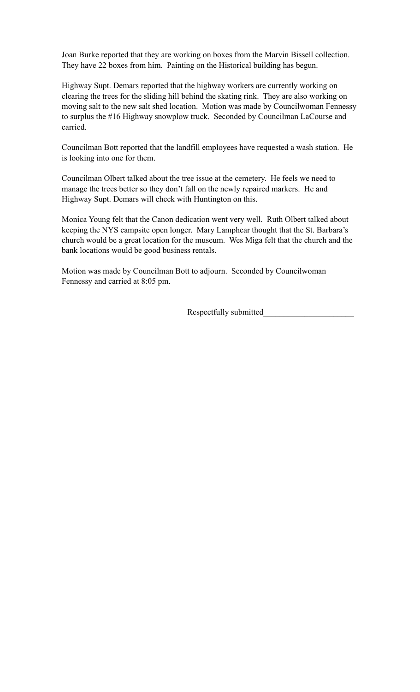Joan Burke reported that they are working on boxes from the Marvin Bissell collection. They have 22 boxes from him. Painting on the Historical building has begun.

Highway Supt. Demars reported that the highway workers are currently working on clearing the trees for the sliding hill behind the skating rink. They are also working on moving salt to the new salt shed location. Motion was made by Councilwoman Fennessy to surplus the #16 Highway snowplow truck. Seconded by Councilman LaCourse and carried.

Councilman Bott reported that the landfill employees have requested a wash station. He is looking into one for them.

Councilman Olbert talked about the tree issue at the cemetery. He feels we need to manage the trees better so they don't fall on the newly repaired markers. He and Highway Supt. Demars will check with Huntington on this.

Monica Young felt that the Canon dedication went very well. Ruth Olbert talked about keeping the NYS campsite open longer. Mary Lamphear thought that the St. Barbara's church would be a great location for the museum. Wes Miga felt that the church and the bank locations would be good business rentals.

Motion was made by Councilman Bott to adjourn. Seconded by Councilwoman Fennessy and carried at 8:05 pm.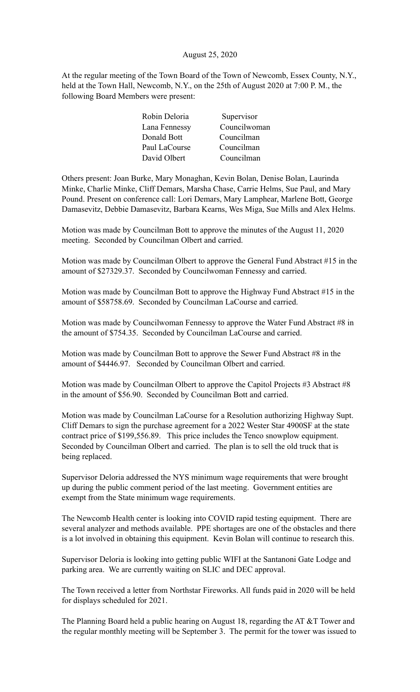#### August 25, 2020

At the regular meeting of the Town Board of the Town of Newcomb, Essex County, N.Y., held at the Town Hall, Newcomb, N.Y., on the 25th of August 2020 at 7:00 P. M., the following Board Members were present:

| Robin Deloria | Supervisor   |
|---------------|--------------|
| Lana Fennessy | Councilwoman |
| Donald Bott   | Councilman   |
| Paul LaCourse | Councilman   |
| David Olbert  | Councilman   |

Others present: Joan Burke, Mary Monaghan, Kevin Bolan, Denise Bolan, Laurinda Minke, Charlie Minke, Cliff Demars, Marsha Chase, Carrie Helms, Sue Paul, and Mary Pound. Present on conference call: Lori Demars, Mary Lamphear, Marlene Bott, George Damasevitz, Debbie Damasevitz, Barbara Kearns, Wes Miga, Sue Mills and Alex Helms.

Motion was made by Councilman Bott to approve the minutes of the August 11, 2020 meeting. Seconded by Councilman Olbert and carried.

Motion was made by Councilman Olbert to approve the General Fund Abstract #15 in the amount of \$27329.37. Seconded by Councilwoman Fennessy and carried.

Motion was made by Councilman Bott to approve the Highway Fund Abstract #15 in the amount of \$58758.69. Seconded by Councilman LaCourse and carried.

Motion was made by Councilwoman Fennessy to approve the Water Fund Abstract #8 in the amount of \$754.35. Seconded by Councilman LaCourse and carried.

Motion was made by Councilman Bott to approve the Sewer Fund Abstract #8 in the amount of \$4446.97. Seconded by Councilman Olbert and carried.

Motion was made by Councilman Olbert to approve the Capitol Projects #3 Abstract #8 in the amount of \$56.90. Seconded by Councilman Bott and carried.

Motion was made by Councilman LaCourse for a Resolution authorizing Highway Supt. Cliff Demars to sign the purchase agreement for a 2022 Wester Star 4900SF at the state contract price of \$199,556.89. This price includes the Tenco snowplow equipment. Seconded by Councilman Olbert and carried. The plan is to sell the old truck that is being replaced.

Supervisor Deloria addressed the NYS minimum wage requirements that were brought up during the public comment period of the last meeting. Government entities are exempt from the State minimum wage requirements.

The Newcomb Health center is looking into COVID rapid testing equipment. There are several analyzer and methods available. PPE shortages are one of the obstacles and there is a lot involved in obtaining this equipment. Kevin Bolan will continue to research this.

Supervisor Deloria is looking into getting public WIFI at the Santanoni Gate Lodge and parking area. We are currently waiting on SLIC and DEC approval.

The Town received a letter from Northstar Fireworks. All funds paid in 2020 will be held for displays scheduled for 2021.

The Planning Board held a public hearing on August 18, regarding the AT &T Tower and the regular monthly meeting will be September 3. The permit for the tower was issued to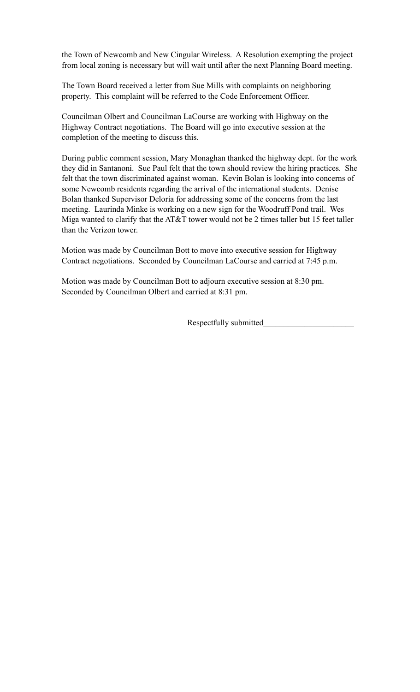the Town of Newcomb and New Cingular Wireless. A Resolution exempting the project from local zoning is necessary but will wait until after the next Planning Board meeting.

The Town Board received a letter from Sue Mills with complaints on neighboring property. This complaint will be referred to the Code Enforcement Officer.

Councilman Olbert and Councilman LaCourse are working with Highway on the Highway Contract negotiations. The Board will go into executive session at the completion of the meeting to discuss this.

During public comment session, Mary Monaghan thanked the highway dept. for the work they did in Santanoni. Sue Paul felt that the town should review the hiring practices. She felt that the town discriminated against woman. Kevin Bolan is looking into concerns of some Newcomb residents regarding the arrival of the international students. Denise Bolan thanked Supervisor Deloria for addressing some of the concerns from the last meeting. Laurinda Minke is working on a new sign for the Woodruff Pond trail. Wes Miga wanted to clarify that the AT&T tower would not be 2 times taller but 15 feet taller than the Verizon tower.

Motion was made by Councilman Bott to move into executive session for Highway Contract negotiations. Seconded by Councilman LaCourse and carried at 7:45 p.m.

Motion was made by Councilman Bott to adjourn executive session at 8:30 pm. Seconded by Councilman Olbert and carried at 8:31 pm.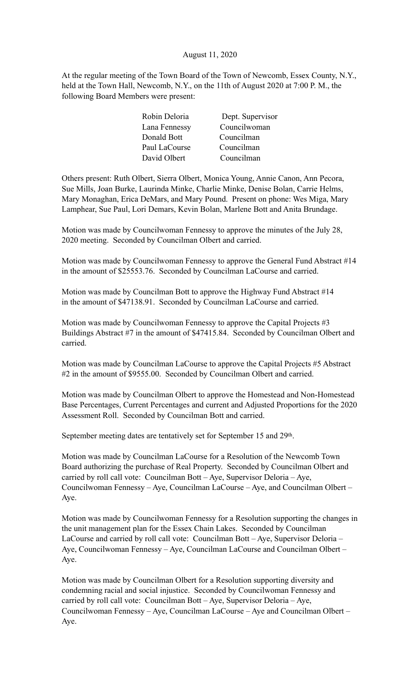#### August 11, 2020

At the regular meeting of the Town Board of the Town of Newcomb, Essex County, N.Y., held at the Town Hall, Newcomb, N.Y., on the 11th of August 2020 at 7:00 P. M., the following Board Members were present:

| Dept. Supervisor |
|------------------|
|                  |
|                  |
|                  |
|                  |
|                  |

Others present: Ruth Olbert, Sierra Olbert, Monica Young, Annie Canon, Ann Pecora, Sue Mills, Joan Burke, Laurinda Minke, Charlie Minke, Denise Bolan, Carrie Helms, Mary Monaghan, Erica DeMars, and Mary Pound. Present on phone: Wes Miga, Mary Lamphear, Sue Paul, Lori Demars, Kevin Bolan, Marlene Bott and Anita Brundage.

Motion was made by Councilwoman Fennessy to approve the minutes of the July 28, 2020 meeting. Seconded by Councilman Olbert and carried.

Motion was made by Councilwoman Fennessy to approve the General Fund Abstract #14 in the amount of \$25553.76. Seconded by Councilman LaCourse and carried.

Motion was made by Councilman Bott to approve the Highway Fund Abstract #14 in the amount of \$47138.91. Seconded by Councilman LaCourse and carried.

Motion was made by Councilwoman Fennessy to approve the Capital Projects #3 Buildings Abstract #7 in the amount of \$47415.84. Seconded by Councilman Olbert and carried.

Motion was made by Councilman LaCourse to approve the Capital Projects #5 Abstract #2 in the amount of \$9555.00. Seconded by Councilman Olbert and carried.

Motion was made by Councilman Olbert to approve the Homestead and Non-Homestead Base Percentages, Current Percentages and current and Adjusted Proportions for the 2020 Assessment Roll. Seconded by Councilman Bott and carried.

September meeting dates are tentatively set for September 15 and 29<sup>th</sup>.

Motion was made by Councilman LaCourse for a Resolution of the Newcomb Town Board authorizing the purchase of Real Property. Seconded by Councilman Olbert and carried by roll call vote: Councilman Bott – Aye, Supervisor Deloria – Aye, Councilwoman Fennessy – Aye, Councilman LaCourse – Aye, and Councilman Olbert – Aye.

Motion was made by Councilwoman Fennessy for a Resolution supporting the changes in the unit management plan for the Essex Chain Lakes. Seconded by Councilman LaCourse and carried by roll call vote: Councilman Bott – Aye, Supervisor Deloria – Aye, Councilwoman Fennessy – Aye, Councilman LaCourse and Councilman Olbert – Aye.

Motion was made by Councilman Olbert for a Resolution supporting diversity and condemning racial and social injustice. Seconded by Councilwoman Fennessy and carried by roll call vote: Councilman Bott – Aye, Supervisor Deloria – Aye, Councilwoman Fennessy – Aye, Councilman LaCourse – Aye and Councilman Olbert – Aye.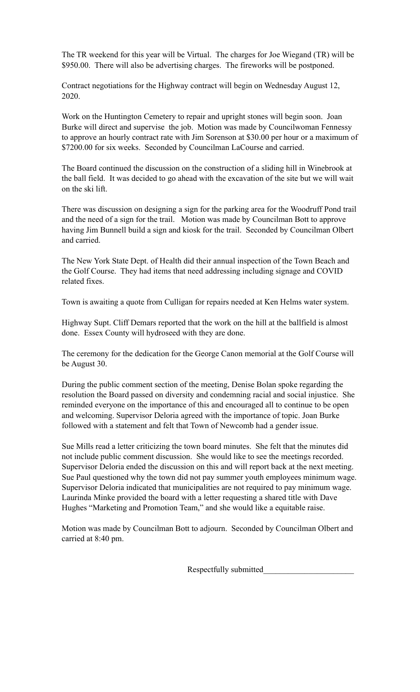The TR weekend for this year will be Virtual. The charges for Joe Wiegand (TR) will be \$950.00. There will also be advertising charges. The fireworks will be postponed.

Contract negotiations for the Highway contract will begin on Wednesday August 12, 2020.

Work on the Huntington Cemetery to repair and upright stones will begin soon. Joan Burke will direct and supervise the job. Motion was made by Councilwoman Fennessy to approve an hourly contract rate with Jim Sorenson at \$30.00 per hour or a maximum of \$7200.00 for six weeks. Seconded by Councilman LaCourse and carried.

The Board continued the discussion on the construction of a sliding hill in Winebrook at the ball field. It was decided to go ahead with the excavation of the site but we will wait on the ski lift.

There was discussion on designing a sign for the parking area for the Woodruff Pond trail and the need of a sign for the trail. Motion was made by Councilman Bott to approve having Jim Bunnell build a sign and kiosk for the trail. Seconded by Councilman Olbert and carried.

The New York State Dept. of Health did their annual inspection of the Town Beach and the Golf Course. They had items that need addressing including signage and COVID related fixes.

Town is awaiting a quote from Culligan for repairs needed at Ken Helms water system.

Highway Supt. Cliff Demars reported that the work on the hill at the ballfield is almost done. Essex County will hydroseed with they are done.

The ceremony for the dedication for the George Canon memorial at the Golf Course will be August 30.

During the public comment section of the meeting, Denise Bolan spoke regarding the resolution the Board passed on diversity and condemning racial and social injustice. She reminded everyone on the importance of this and encouraged all to continue to be open and welcoming. Supervisor Deloria agreed with the importance of topic. Joan Burke followed with a statement and felt that Town of Newcomb had a gender issue.

Sue Mills read a letter criticizing the town board minutes. She felt that the minutes did not include public comment discussion. She would like to see the meetings recorded. Supervisor Deloria ended the discussion on this and will report back at the next meeting. Sue Paul questioned why the town did not pay summer youth employees minimum wage. Supervisor Deloria indicated that municipalities are not required to pay minimum wage. Laurinda Minke provided the board with a letter requesting a shared title with Dave Hughes "Marketing and Promotion Team," and she would like a equitable raise.

Motion was made by Councilman Bott to adjourn. Seconded by Councilman Olbert and carried at 8:40 pm.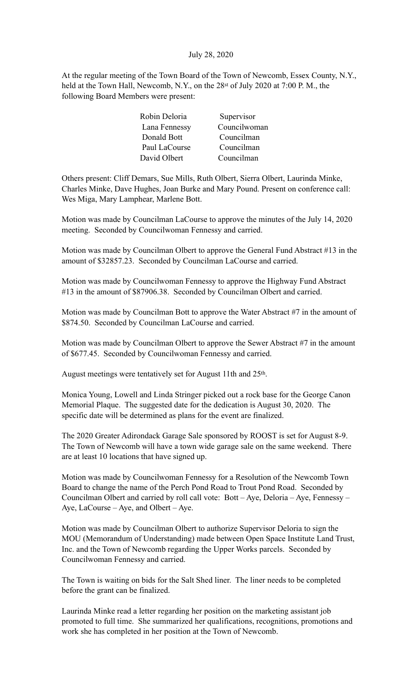#### July 28, 2020

At the regular meeting of the Town Board of the Town of Newcomb, Essex County, N.Y., held at the Town Hall, Newcomb, N.Y., on the 28<sup>st</sup> of July 2020 at 7:00 P.M., the following Board Members were present:

| Robin Deloria | Supervisor   |
|---------------|--------------|
| Lana Fennessy | Councilwoman |
| Donald Bott   | Councilman   |
| Paul LaCourse | Councilman   |
| David Olbert  | Councilman   |

Others present: Cliff Demars, Sue Mills, Ruth Olbert, Sierra Olbert, Laurinda Minke, Charles Minke, Dave Hughes, Joan Burke and Mary Pound. Present on conference call: Wes Miga, Mary Lamphear, Marlene Bott.

Motion was made by Councilman LaCourse to approve the minutes of the July 14, 2020 meeting. Seconded by Councilwoman Fennessy and carried.

Motion was made by Councilman Olbert to approve the General Fund Abstract #13 in the amount of \$32857.23. Seconded by Councilman LaCourse and carried.

Motion was made by Councilwoman Fennessy to approve the Highway Fund Abstract #13 in the amount of \$87906.38. Seconded by Councilman Olbert and carried.

Motion was made by Councilman Bott to approve the Water Abstract #7 in the amount of \$874.50. Seconded by Councilman LaCourse and carried.

Motion was made by Councilman Olbert to approve the Sewer Abstract #7 in the amount of \$677.45. Seconded by Councilwoman Fennessy and carried.

August meetings were tentatively set for August 11th and 25<sup>th</sup>.

Monica Young, Lowell and Linda Stringer picked out a rock base for the George Canon Memorial Plaque. The suggested date for the dedication is August 30, 2020. The specific date will be determined as plans for the event are finalized.

The 2020 Greater Adirondack Garage Sale sponsored by ROOST is set for August 8-9. The Town of Newcomb will have a town wide garage sale on the same weekend. There are at least 10 locations that have signed up.

Motion was made by Councilwoman Fennessy for a Resolution of the Newcomb Town Board to change the name of the Perch Pond Road to Trout Pond Road. Seconded by Councilman Olbert and carried by roll call vote: Bott – Aye, Deloria – Aye, Fennessy – Aye, LaCourse – Aye, and Olbert – Aye.

Motion was made by Councilman Olbert to authorize Supervisor Deloria to sign the MOU (Memorandum of Understanding) made between Open Space Institute Land Trust, Inc. and the Town of Newcomb regarding the Upper Works parcels. Seconded by Councilwoman Fennessy and carried.

The Town is waiting on bids for the Salt Shed liner. The liner needs to be completed before the grant can be finalized.

Laurinda Minke read a letter regarding her position on the marketing assistant job promoted to full time. She summarized her qualifications, recognitions, promotions and work she has completed in her position at the Town of Newcomb.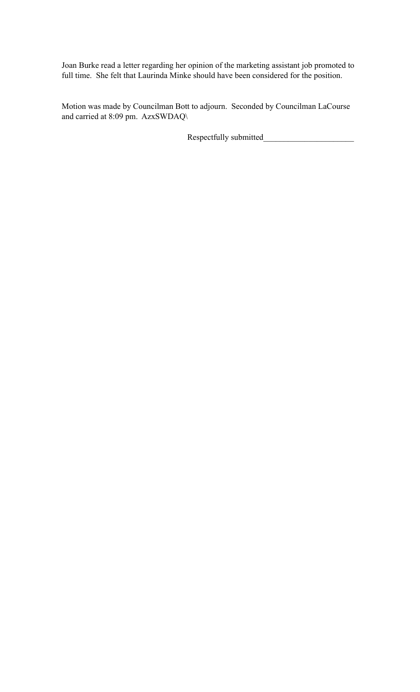Joan Burke read a letter regarding her opinion of the marketing assistant job promoted to full time. She felt that Laurinda Minke should have been considered for the position.

Motion was made by Councilman Bott to adjourn. Seconded by Councilman LaCourse and carried at 8:09 pm. AzxSWDAQ\

Respectfully submitted\_\_\_\_\_\_\_\_\_\_\_\_\_\_\_\_\_\_\_\_\_\_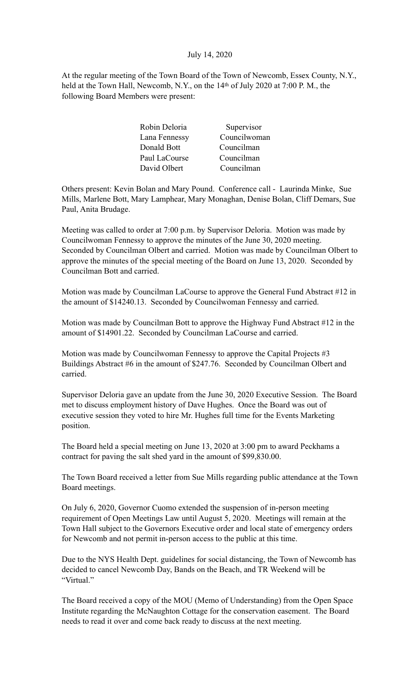#### July 14, 2020

At the regular meeting of the Town Board of the Town of Newcomb, Essex County, N.Y., held at the Town Hall, Newcomb, N.Y., on the 14<sup>th</sup> of July 2020 at 7:00 P.M., the following Board Members were present:

| Supervisor   |
|--------------|
| Councilwoman |
| Councilman   |
| Councilman   |
| Councilman   |
|              |

Others present: Kevin Bolan and Mary Pound. Conference call - Laurinda Minke, Sue Mills, Marlene Bott, Mary Lamphear, Mary Monaghan, Denise Bolan, Cliff Demars, Sue Paul, Anita Brudage.

Meeting was called to order at 7:00 p.m. by Supervisor Deloria. Motion was made by Councilwoman Fennessy to approve the minutes of the June 30, 2020 meeting. Seconded by Councilman Olbert and carried. Motion was made by Councilman Olbert to approve the minutes of the special meeting of the Board on June 13, 2020. Seconded by Councilman Bott and carried.

Motion was made by Councilman LaCourse to approve the General Fund Abstract #12 in the amount of \$14240.13. Seconded by Councilwoman Fennessy and carried.

Motion was made by Councilman Bott to approve the Highway Fund Abstract #12 in the amount of \$14901.22. Seconded by Councilman LaCourse and carried.

Motion was made by Councilwoman Fennessy to approve the Capital Projects #3 Buildings Abstract #6 in the amount of \$247.76. Seconded by Councilman Olbert and carried.

Supervisor Deloria gave an update from the June 30, 2020 Executive Session. The Board met to discuss employment history of Dave Hughes. Once the Board was out of executive session they voted to hire Mr. Hughes full time for the Events Marketing position.

The Board held a special meeting on June 13, 2020 at 3:00 pm to award Peckhams a contract for paving the salt shed yard in the amount of \$99,830.00.

The Town Board received a letter from Sue Mills regarding public attendance at the Town Board meetings.

On July 6, 2020, Governor Cuomo extended the suspension of in-person meeting requirement of Open Meetings Law until August 5, 2020. Meetings will remain at the Town Hall subject to the Governors Executive order and local state of emergency orders for Newcomb and not permit in-person access to the public at this time.

Due to the NYS Health Dept. guidelines for social distancing, the Town of Newcomb has decided to cancel Newcomb Day, Bands on the Beach, and TR Weekend will be "Virtual."

The Board received a copy of the MOU (Memo of Understanding) from the Open Space Institute regarding the McNaughton Cottage for the conservation easement. The Board needs to read it over and come back ready to discuss at the next meeting.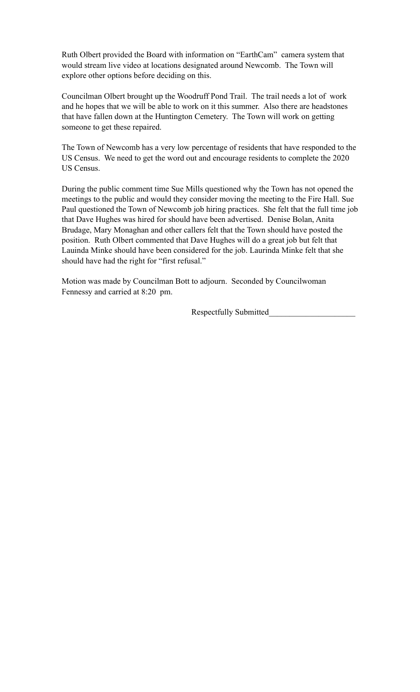Ruth Olbert provided the Board with information on "EarthCam" camera system that would stream live video at locations designated around Newcomb. The Town will explore other options before deciding on this.

Councilman Olbert brought up the Woodruff Pond Trail. The trail needs a lot of work and he hopes that we will be able to work on it this summer. Also there are headstones that have fallen down at the Huntington Cemetery. The Town will work on getting someone to get these repaired.

The Town of Newcomb has a very low percentage of residents that have responded to the US Census. We need to get the word out and encourage residents to complete the 2020 US Census.

During the public comment time Sue Mills questioned why the Town has not opened the meetings to the public and would they consider moving the meeting to the Fire Hall. Sue Paul questioned the Town of Newcomb job hiring practices. She felt that the full time job that Dave Hughes was hired for should have been advertised. Denise Bolan, Anita Brudage, Mary Monaghan and other callers felt that the Town should have posted the position. Ruth Olbert commented that Dave Hughes will do a great job but felt that Lauinda Minke should have been considered for the job. Laurinda Minke felt that she should have had the right for "first refusal."

Motion was made by Councilman Bott to adjourn. Seconded by Councilwoman Fennessy and carried at 8:20 pm.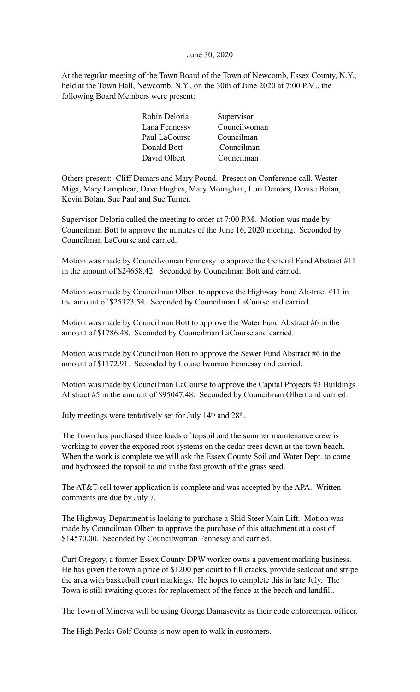#### June 30, 2020

At the regular meeting of the Town Board of the Town of Newcomb, Essex County, N.Y., held at the Town Hall, Newcomb, N.Y., on the 30th of June 2020 at 7:00 P.M., the following Board Members were present:

| Robin Deloria | Supervisor   |
|---------------|--------------|
| Lana Fennessy | Councilwoman |
| Paul LaCourse | Councilman   |
| Donald Bott   | Councilman   |
| David Olbert  | Councilman   |
|               |              |

Others present: Cliff Demars and Mary Pound. Present on Conference call, Wester Miga, Mary Lamphear, Dave Hughes, Mary Monaghan, Lori Demars, Denise Bolan, Kevin Bolan, Sue Paul and Sue Turner.

Supervisor Deloria called the meeting to order at 7:00 P.M. Motion was made by Councilman Bott to approve the minutes of the June 16, 2020 meeting. Seconded by Councilman LaCourse and carried.

Motion was made by Councilwoman Fennessy to approve the General Fund Abstract #11 in the amount of \$24658.42. Seconded by Councilman Bott and carried.

Motion was made by Councilman Olbert to approve the Highway Fund Abstract #11 in the amount of \$25323.54. Seconded by Councilman LaCourse and carried.

Motion was made by Councilman Bott to approve the Water Fund Abstract #6 in the amount of \$1786.48. Seconded by Councilman LaCourse and carried.

Motion was made by Councilman Bott to approve the Sewer Fund Abstract #6 in the amount of \$1172.91. Seconded by Councilwoman Fennessy and carried.

Motion was made by Councilman LaCourse to approve the Capital Projects #3 Buildings Abstract #5 in the amount of \$95047.48. Seconded by Councilman Olbert and carried.

July meetings were tentatively set for July 14th and 28th.

The Town has purchased three loads of topsoil and the summer maintenance crew is working to cover the exposed root systems on the cedar trees down at the town beach. When the work is complete we will ask the Essex County Soil and Water Dept. to come and hydroseed the topsoil to aid in the fast growth of the grass seed.

The AT&T cell tower application is complete and was accepted by the APA. Written comments are due by July 7.

The Highway Department is looking to purchase a Skid Steer Main Lift. Motion was made by Councilman Olbert to approve the purchase of this attachment at a cost of \$14570.00. Seconded by Councilwoman Fennessy and carried.

Curt Gregory, a former Essex County DPW worker owns a pavement marking business. He has given the town a price of \$1200 per court to fill cracks, provide sealcoat and stripe the area with basketball court markings. He hopes to complete this in late July. The Town is still awaiting quotes for replacement of the fence at the beach and landfill.

The Town of Minerva will be using George Damasevitz as their code enforcement officer.

The High Peaks Golf Course is now open to walk in customers.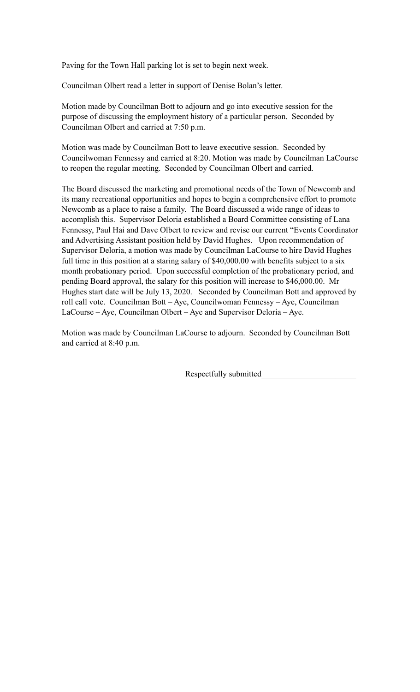Paving for the Town Hall parking lot is set to begin next week.

Councilman Olbert read a letter in support of Denise Bolan's letter.

Motion made by Councilman Bott to adjourn and go into executive session for the purpose of discussing the employment history of a particular person. Seconded by Councilman Olbert and carried at 7:50 p.m.

Motion was made by Councilman Bott to leave executive session. Seconded by Councilwoman Fennessy and carried at 8:20. Motion was made by Councilman LaCourse to reopen the regular meeting. Seconded by Councilman Olbert and carried.

The Board discussed the marketing and promotional needs of the Town of Newcomb and its many recreational opportunities and hopes to begin a comprehensive effort to promote Newcomb as a place to raise a family. The Board discussed a wide range of ideas to accomplish this. Supervisor Deloria established a Board Committee consisting of Lana Fennessy, Paul Hai and Dave Olbert to review and revise our current "Events Coordinator and Advertising Assistant position held by David Hughes. Upon recommendation of Supervisor Deloria, a motion was made by Councilman LaCourse to hire David Hughes full time in this position at a staring salary of \$40,000.00 with benefits subject to a six month probationary period. Upon successful completion of the probationary period, and pending Board approval, the salary for this position will increase to \$46,000.00. Mr Hughes start date will be July 13, 2020. Seconded by Councilman Bott and approved by roll call vote. Councilman Bott – Aye, Councilwoman Fennessy – Aye, Councilman LaCourse – Aye, Councilman Olbert – Aye and Supervisor Deloria – Aye.

Motion was made by Councilman LaCourse to adjourn. Seconded by Councilman Bott and carried at 8:40 p.m.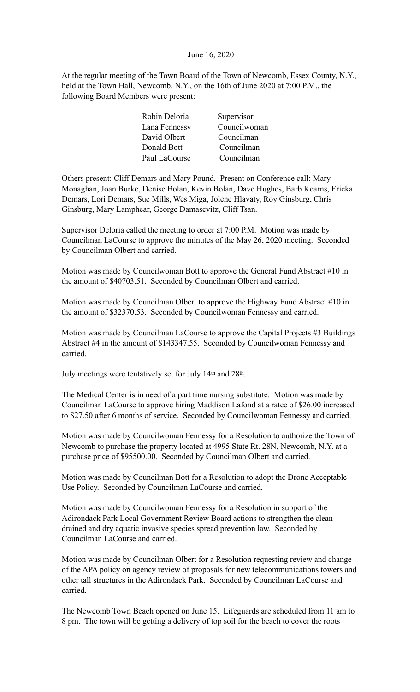#### June 16, 2020

At the regular meeting of the Town Board of the Town of Newcomb, Essex County, N.Y., held at the Town Hall, Newcomb, N.Y., on the 16th of June 2020 at 7:00 P.M., the following Board Members were present:

| Robin Deloria | Supervisor   |
|---------------|--------------|
| Lana Fennessy | Councilwoman |
| David Olbert  | Councilman   |
| Donald Bott   | Councilman   |
| Paul LaCourse | Councilman   |

Others present: Cliff Demars and Mary Pound. Present on Conference call: Mary Monaghan, Joan Burke, Denise Bolan, Kevin Bolan, Dave Hughes, Barb Kearns, Ericka Demars, Lori Demars, Sue Mills, Wes Miga, Jolene Hlavaty, Roy Ginsburg, Chris Ginsburg, Mary Lamphear, George Damasevitz, Cliff Tsan.

Supervisor Deloria called the meeting to order at 7:00 P.M. Motion was made by Councilman LaCourse to approve the minutes of the May 26, 2020 meeting. Seconded by Councilman Olbert and carried.

Motion was made by Councilwoman Bott to approve the General Fund Abstract #10 in the amount of \$40703.51. Seconded by Councilman Olbert and carried.

Motion was made by Councilman Olbert to approve the Highway Fund Abstract #10 in the amount of \$32370.53. Seconded by Councilwoman Fennessy and carried.

Motion was made by Councilman LaCourse to approve the Capital Projects #3 Buildings Abstract #4 in the amount of \$143347.55. Seconded by Councilwoman Fennessy and carried.

July meetings were tentatively set for July 14th and 28th.

The Medical Center is in need of a part time nursing substitute. Motion was made by Councilman LaCourse to approve hiring Maddison Lafond at a ratee of \$26.00 increased to \$27.50 after 6 months of service. Seconded by Councilwoman Fennessy and carried.

Motion was made by Councilwoman Fennessy for a Resolution to authorize the Town of Newcomb to purchase the property located at 4995 State Rt. 28N, Newcomb, N.Y. at a purchase price of \$95500.00. Seconded by Councilman Olbert and carried.

Motion was made by Councilman Bott for a Resolution to adopt the Drone Acceptable Use Policy. Seconded by Councilman LaCourse and carried.

Motion was made by Councilwoman Fennessy for a Resolution in support of the Adirondack Park Local Government Review Board actions to strengthen the clean drained and dry aquatic invasive species spread prevention law. Seconded by Councilman LaCourse and carried.

Motion was made by Councilman Olbert for a Resolution requesting review and change of the APA policy on agency review of proposals for new telecommunications towers and other tall structures in the Adirondack Park. Seconded by Councilman LaCourse and carried.

The Newcomb Town Beach opened on June 15. Lifeguards are scheduled from 11 am to 8 pm. The town will be getting a delivery of top soil for the beach to cover the roots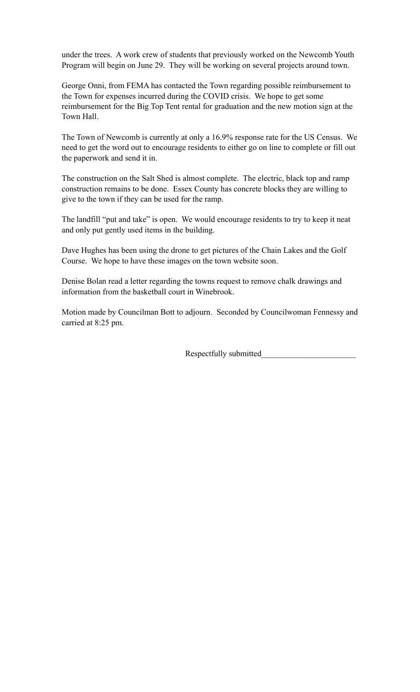under the trees. A work crew of students that previously worked on the Newcomb Youth Program will begin on June 29. They will be working on several projects around town.

George Onni, from FEMA has contacted the Town regarding possible reimbursement to the Town for expenses incurred during the COVID crisis. We hope to get some reimbursement for the Big Top Tent rental for graduation and the new motion sign at the Town Hall.

The Town of Newcomb is currently at only a 16.9% response rate for the US Census. We need to get the word out to encourage residents to either go on line to complete or fill out the paperwork and send it in.

The construction on the Salt Shed is almost complete. The electric, black top and ramp construction remains to be done. Essex County has concrete blocks they are willing to give to the town if they can be used for the ramp.

The landfill "put and take" is open. We would encourage residents to try to keep it neat and only put gently used items in the building.

Dave Hughes has been using the drone to get pictures of the Chain Lakes and the Golf Course. We hope to have these images on the town website soon.

Denise Bolan read a letter regarding the towns request to remove chalk drawings and information from the basketball court in Winebrook.

Motion made by Councilman Bott to adjourn. Seconded by Councilwoman Fennessy and carried at 8:25 pm.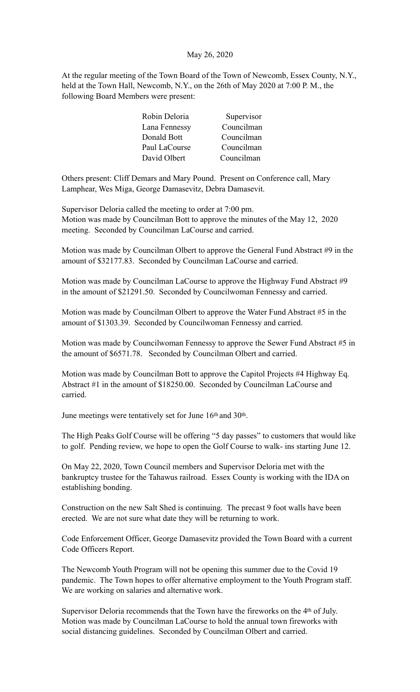#### May 26, 2020

At the regular meeting of the Town Board of the Town of Newcomb, Essex County, N.Y., held at the Town Hall, Newcomb, N.Y., on the 26th of May 2020 at 7:00 P. M., the following Board Members were present:

| Robin Deloria | Supervisor |
|---------------|------------|
| Lana Fennessy | Councilman |
| Donald Bott   | Councilman |
| Paul LaCourse | Councilman |
| David Olbert  | Councilman |

Others present: Cliff Demars and Mary Pound. Present on Conference call, Mary Lamphear, Wes Miga, George Damasevitz, Debra Damasevit.

Supervisor Deloria called the meeting to order at 7:00 pm. Motion was made by Councilman Bott to approve the minutes of the May 12, 2020 meeting. Seconded by Councilman LaCourse and carried.

Motion was made by Councilman Olbert to approve the General Fund Abstract #9 in the amount of \$32177.83. Seconded by Councilman LaCourse and carried.

Motion was made by Councilman LaCourse to approve the Highway Fund Abstract #9 in the amount of \$21291.50. Seconded by Councilwoman Fennessy and carried.

Motion was made by Councilman Olbert to approve the Water Fund Abstract #5 in the amount of \$1303.39. Seconded by Councilwoman Fennessy and carried.

Motion was made by Councilwoman Fennessy to approve the Sewer Fund Abstract #5 in the amount of \$6571.78. Seconded by Councilman Olbert and carried.

Motion was made by Councilman Bott to approve the Capitol Projects #4 Highway Eq. Abstract #1 in the amount of \$18250.00. Seconded by Councilman LaCourse and carried.

June meetings were tentatively set for June 16th and 30th.

The High Peaks Golf Course will be offering "5 day passes" to customers that would like to golf. Pending review, we hope to open the Golf Course to walk- ins starting June 12.

On May 22, 2020, Town Council members and Supervisor Deloria met with the bankruptcy trustee for the Tahawus railroad. Essex County is working with the IDA on establishing bonding.

Construction on the new Salt Shed is continuing. The precast 9 foot walls have been erected. We are not sure what date they will be returning to work.

Code Enforcement Officer, George Damasevitz provided the Town Board with a current Code Officers Report.

The Newcomb Youth Program will not be opening this summer due to the Covid 19 pandemic. The Town hopes to offer alternative employment to the Youth Program staff. We are working on salaries and alternative work.

Supervisor Deloria recommends that the Town have the fireworks on the 4th of July. Motion was made by Councilman LaCourse to hold the annual town fireworks with social distancing guidelines. Seconded by Councilman Olbert and carried.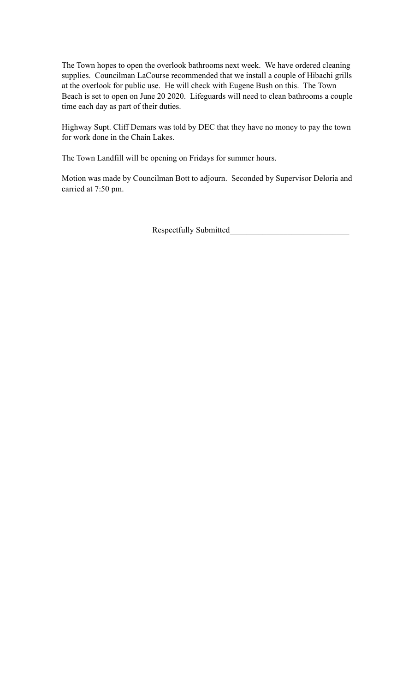The Town hopes to open the overlook bathrooms next week. We have ordered cleaning supplies. Councilman LaCourse recommended that we install a couple of Hibachi grills at the overlook for public use. He will check with Eugene Bush on this. The Town Beach is set to open on June 20 2020. Lifeguards will need to clean bathrooms a couple time each day as part of their duties.

Highway Supt. Cliff Demars was told by DEC that they have no money to pay the town for work done in the Chain Lakes.

The Town Landfill will be opening on Fridays for summer hours.

Motion was made by Councilman Bott to adjourn. Seconded by Supervisor Deloria and carried at 7:50 pm.

Respectfully Submitted\_\_\_\_\_\_\_\_\_\_\_\_\_\_\_\_\_\_\_\_\_\_\_\_\_\_\_\_\_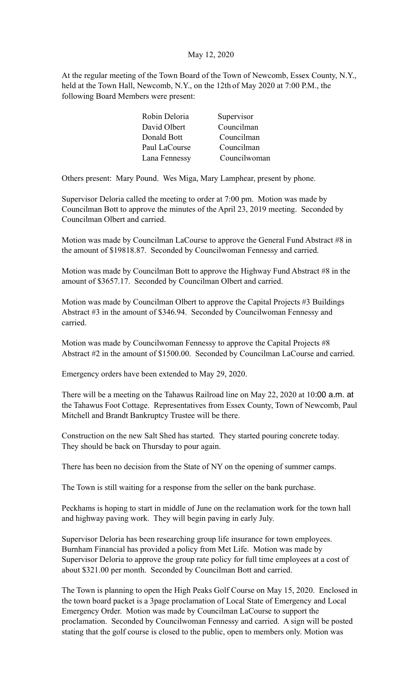#### May 12, 2020

At the regular meeting of the Town Board of the Town of Newcomb, Essex County, N.Y., held at the Town Hall, Newcomb, N.Y., on the 12th of May 2020 at 7:00 P.M., the following Board Members were present:

| Robin Deloria | Supervisor   |
|---------------|--------------|
| David Olbert  | Councilman   |
| Donald Bott   | Councilman   |
| Paul LaCourse | Councilman   |
| Lana Fennessy | Councilwoman |

Others present: Mary Pound. Wes Miga, Mary Lamphear, present by phone.

Supervisor Deloria called the meeting to order at 7:00 pm. Motion was made by Councilman Bott to approve the minutes of the April 23, 2019 meeting. Seconded by Councilman Olbert and carried.

Motion was made by Councilman LaCourse to approve the General Fund Abstract #8 in the amount of \$19818.87. Seconded by Councilwoman Fennessy and carried.

Motion was made by Councilman Bott to approve the Highway Fund Abstract #8 in the amount of \$3657.17. Seconded by Councilman Olbert and carried.

Motion was made by Councilman Olbert to approve the Capital Projects #3 Buildings Abstract #3 in the amount of \$346.94. Seconded by Councilwoman Fennessy and carried.

Motion was made by Councilwoman Fennessy to approve the Capital Projects #8 Abstract #2 in the amount of \$1500.00. Seconded by Councilman LaCourse and carried.

Emergency orders have been extended to May 29, 2020.

There will be a meeting on the Tahawus Railroad line on May 22, 2020 at 10:00 a.m. at the Tahawus Foot Cottage. Representatives from Essex County, Town of Newcomb, Paul Mitchell and Brandt Bankruptcy Trustee will be there.

Construction on the new Salt Shed has started. They started pouring concrete today. They should be back on Thursday to pour again.

There has been no decision from the State of NY on the opening of summer camps.

The Town is still waiting for a response from the seller on the bank purchase.

Peckhams is hoping to start in middle of June on the reclamation work for the town hall and highway paving work. They will begin paving in early July.

Supervisor Deloria has been researching group life insurance for town employees. Burnham Financial has provided a policy from Met Life. Motion was made by Supervisor Deloria to approve the group rate policy for full time employees at a cost of about \$321.00 per month. Seconded by Councilman Bott and carried.

The Town is planning to open the High Peaks Golf Course on May 15, 2020. Enclosed in the town board packet is a 3page proclamation of Local State of Emergency and Local Emergency Order. Motion was made by Councilman LaCourse to support the proclamation. Seconded by Councilwoman Fennessy and carried. A sign will be posted stating that the golf course is closed to the public, open to members only. Motion was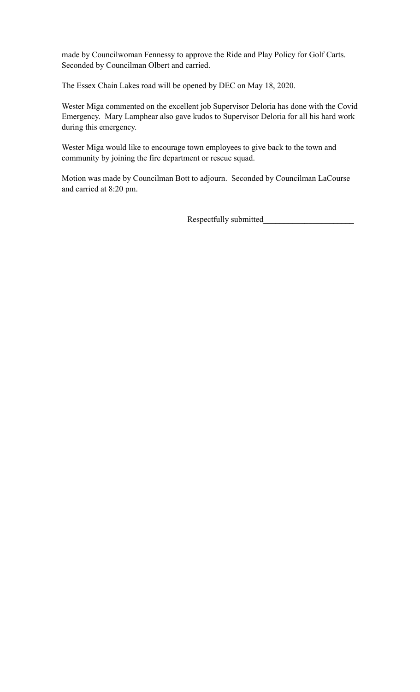made by Councilwoman Fennessy to approve the Ride and Play Policy for Golf Carts. Seconded by Councilman Olbert and carried.

The Essex Chain Lakes road will be opened by DEC on May 18, 2020.

Wester Miga commented on the excellent job Supervisor Deloria has done with the Covid Emergency. Mary Lamphear also gave kudos to Supervisor Deloria for all his hard work during this emergency.

Wester Miga would like to encourage town employees to give back to the town and community by joining the fire department or rescue squad.

Motion was made by Councilman Bott to adjourn. Seconded by Councilman LaCourse and carried at 8:20 pm.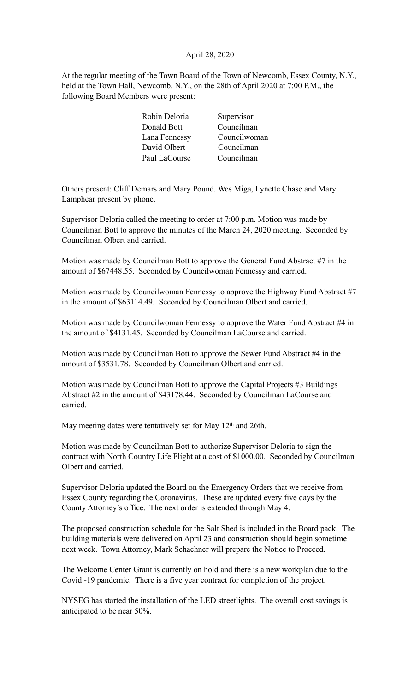#### April 28, 2020

At the regular meeting of the Town Board of the Town of Newcomb, Essex County, N.Y., held at the Town Hall, Newcomb, N.Y., on the 28th of April 2020 at 7:00 P.M., the following Board Members were present:

Others present: Cliff Demars and Mary Pound. Wes Miga, Lynette Chase and Mary Lamphear present by phone.

Supervisor Deloria called the meeting to order at 7:00 p.m. Motion was made by Councilman Bott to approve the minutes of the March 24, 2020 meeting. Seconded by Councilman Olbert and carried.

Motion was made by Councilman Bott to approve the General Fund Abstract #7 in the amount of \$67448.55. Seconded by Councilwoman Fennessy and carried.

Motion was made by Councilwoman Fennessy to approve the Highway Fund Abstract #7 in the amount of \$63114.49. Seconded by Councilman Olbert and carried.

Motion was made by Councilwoman Fennessy to approve the Water Fund Abstract #4 in the amount of \$4131.45. Seconded by Councilman LaCourse and carried.

Motion was made by Councilman Bott to approve the Sewer Fund Abstract #4 in the amount of \$3531.78. Seconded by Councilman Olbert and carried.

Motion was made by Councilman Bott to approve the Capital Projects #3 Buildings Abstract #2 in the amount of \$43178.44. Seconded by Councilman LaCourse and carried.

May meeting dates were tentatively set for May 12<sup>th</sup> and 26th.

Motion was made by Councilman Bott to authorize Supervisor Deloria to sign the contract with North Country Life Flight at a cost of \$1000.00. Seconded by Councilman Olbert and carried.

Supervisor Deloria updated the Board on the Emergency Orders that we receive from Essex County regarding the Coronavirus. These are updated every five days by the County Attorney's office. The next order is extended through May 4.

The proposed construction schedule for the Salt Shed is included in the Board pack. The building materials were delivered on April 23 and construction should begin sometime next week. Town Attorney, Mark Schachner will prepare the Notice to Proceed.

The Welcome Center Grant is currently on hold and there is a new workplan due to the Covid -19 pandemic. There is a five year contract for completion of the project.

NYSEG has started the installation of the LED streetlights. The overall cost savings is anticipated to be near 50%.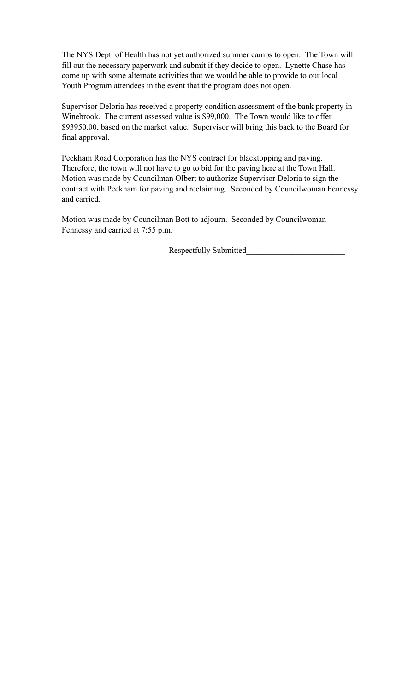The NYS Dept. of Health has not yet authorized summer camps to open. The Town will fill out the necessary paperwork and submit if they decide to open. Lynette Chase has come up with some alternate activities that we would be able to provide to our local Youth Program attendees in the event that the program does not open.

Supervisor Deloria has received a property condition assessment of the bank property in Winebrook. The current assessed value is \$99,000. The Town would like to offer \$93950.00, based on the market value. Supervisor will bring this back to the Board for final approval.

Peckham Road Corporation has the NYS contract for blacktopping and paving. Therefore, the town will not have to go to bid for the paving here at the Town Hall. Motion was made by Councilman Olbert to authorize Supervisor Deloria to sign the contract with Peckham for paving and reclaiming. Seconded by Councilwoman Fennessy and carried.

Motion was made by Councilman Bott to adjourn. Seconded by Councilwoman Fennessy and carried at 7:55 p.m.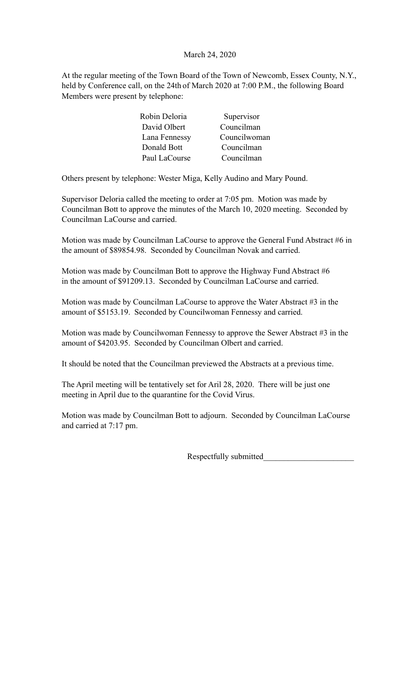### March 24, 2020

At the regular meeting of the Town Board of the Town of Newcomb, Essex County, N.Y., held by Conference call, on the 24th of March 2020 at 7:00 P.M., the following Board Members were present by telephone:

| Robin Deloria | Supervisor   |
|---------------|--------------|
| David Olbert  | Councilman   |
| Lana Fennessy | Councilwoman |
| Donald Bott   | Councilman   |
| Paul LaCourse | Councilman   |

Others present by telephone: Wester Miga, Kelly Audino and Mary Pound.

Supervisor Deloria called the meeting to order at 7:05 pm. Motion was made by Councilman Bott to approve the minutes of the March 10, 2020 meeting. Seconded by Councilman LaCourse and carried.

Motion was made by Councilman LaCourse to approve the General Fund Abstract #6 in the amount of \$89854.98. Seconded by Councilman Novak and carried.

Motion was made by Councilman Bott to approve the Highway Fund Abstract #6 in the amount of \$91209.13. Seconded by Councilman LaCourse and carried.

Motion was made by Councilman LaCourse to approve the Water Abstract #3 in the amount of \$5153.19. Seconded by Councilwoman Fennessy and carried.

Motion was made by Councilwoman Fennessy to approve the Sewer Abstract #3 in the amount of \$4203.95. Seconded by Councilman Olbert and carried.

It should be noted that the Councilman previewed the Abstracts at a previous time.

The April meeting will be tentatively set for Aril 28, 2020. There will be just one meeting in April due to the quarantine for the Covid Virus.

Motion was made by Councilman Bott to adjourn. Seconded by Councilman LaCourse and carried at 7:17 pm.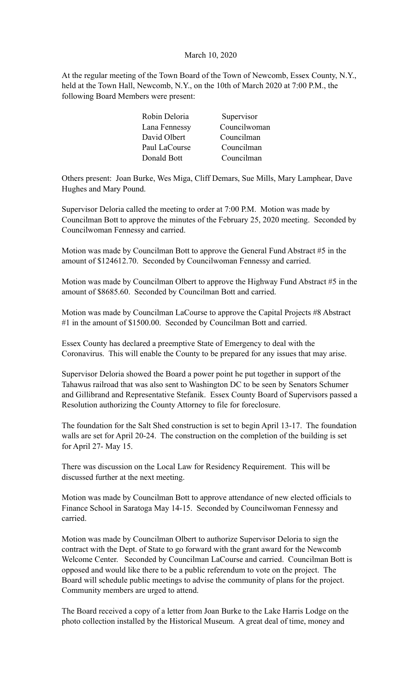#### March 10, 2020

At the regular meeting of the Town Board of the Town of Newcomb, Essex County, N.Y., held at the Town Hall, Newcomb, N.Y., on the 10th of March 2020 at 7:00 P.M., the following Board Members were present:

| Supervisor   |
|--------------|
| Councilwoman |
| Councilman   |
| Councilman   |
| Councilman   |
|              |

Others present: Joan Burke, Wes Miga, Cliff Demars, Sue Mills, Mary Lamphear, Dave Hughes and Mary Pound.

Supervisor Deloria called the meeting to order at 7:00 P.M. Motion was made by Councilman Bott to approve the minutes of the February 25, 2020 meeting. Seconded by Councilwoman Fennessy and carried.

Motion was made by Councilman Bott to approve the General Fund Abstract #5 in the amount of \$124612.70. Seconded by Councilwoman Fennessy and carried.

Motion was made by Councilman Olbert to approve the Highway Fund Abstract #5 in the amount of \$8685.60. Seconded by Councilman Bott and carried.

Motion was made by Councilman LaCourse to approve the Capital Projects #8 Abstract #1 in the amount of \$1500.00. Seconded by Councilman Bott and carried.

Essex County has declared a preemptive State of Emergency to deal with the Coronavirus. This will enable the County to be prepared for any issues that may arise.

Supervisor Deloria showed the Board a power point he put together in support of the Tahawus railroad that was also sent to Washington DC to be seen by Senators Schumer and Gillibrand and Representative Stefanik. Essex County Board of Supervisors passed a Resolution authorizing the County Attorney to file for foreclosure.

The foundation for the Salt Shed construction is set to begin April 13-17. The foundation walls are set for April 20-24. The construction on the completion of the building is set for April 27- May 15.

There was discussion on the Local Law for Residency Requirement. This will be discussed further at the next meeting.

Motion was made by Councilman Bott to approve attendance of new elected officials to Finance School in Saratoga May 14-15. Seconded by Councilwoman Fennessy and carried.

Motion was made by Councilman Olbert to authorize Supervisor Deloria to sign the contract with the Dept. of State to go forward with the grant award for the Newcomb Welcome Center. Seconded by Councilman LaCourse and carried. Councilman Bott is opposed and would like there to be a public referendum to vote on the project. The Board will schedule public meetings to advise the community of plans for the project. Community members are urged to attend.

The Board received a copy of a letter from Joan Burke to the Lake Harris Lodge on the photo collection installed by the Historical Museum. A great deal of time, money and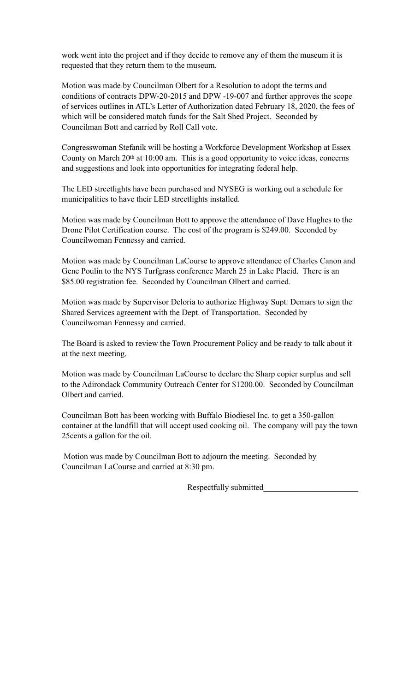work went into the project and if they decide to remove any of them the museum it is requested that they return them to the museum.

Motion was made by Councilman Olbert for a Resolution to adopt the terms and conditions of contracts DPW-20-2015 and DPW -19-007 and further approves the scope of services outlines in ATL's Letter of Authorization dated February 18, 2020, the fees of which will be considered match funds for the Salt Shed Project. Seconded by Councilman Bott and carried by Roll Call vote.

Congresswoman Stefanik will be hosting a Workforce Development Workshop at Essex County on March 20<sup>th</sup> at 10:00 am. This is a good opportunity to voice ideas, concerns and suggestions and look into opportunities for integrating federal help.

The LED streetlights have been purchased and NYSEG is working out a schedule for municipalities to have their LED streetlights installed.

Motion was made by Councilman Bott to approve the attendance of Dave Hughes to the Drone Pilot Certification course. The cost of the program is \$249.00. Seconded by Councilwoman Fennessy and carried.

Motion was made by Councilman LaCourse to approve attendance of Charles Canon and Gene Poulin to the NYS Turfgrass conference March 25 in Lake Placid. There is an \$85.00 registration fee. Seconded by Councilman Olbert and carried.

Motion was made by Supervisor Deloria to authorize Highway Supt. Demars to sign the Shared Services agreement with the Dept. of Transportation. Seconded by Councilwoman Fennessy and carried.

The Board is asked to review the Town Procurement Policy and be ready to talk about it at the next meeting.

Motion was made by Councilman LaCourse to declare the Sharp copier surplus and sell to the Adirondack Community Outreach Center for \$1200.00. Seconded by Councilman Olbert and carried.

Councilman Bott has been working with Buffalo Biodiesel Inc. to get a 350-gallon container at the landfill that will accept used cooking oil. The company will pay the town 25cents a gallon for the oil.

 Motion was made by Councilman Bott to adjourn the meeting. Seconded by Councilman LaCourse and carried at 8:30 pm.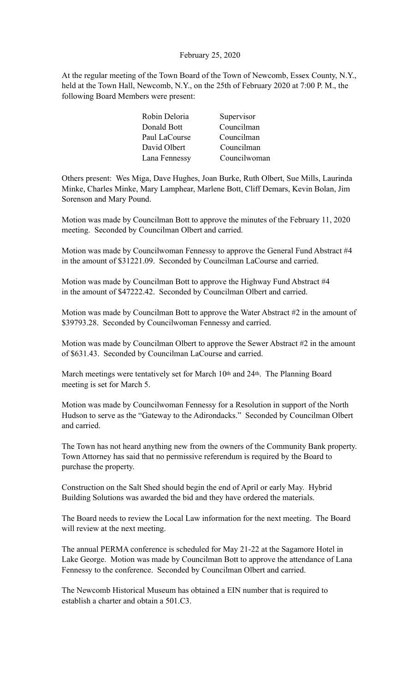#### February 25, 2020

At the regular meeting of the Town Board of the Town of Newcomb, Essex County, N.Y., held at the Town Hall, Newcomb, N.Y., on the 25th of February 2020 at 7:00 P. M., the following Board Members were present:

| Robin Deloria | Supervisor   |
|---------------|--------------|
| Donald Bott   | Councilman   |
| Paul LaCourse | Councilman   |
| David Olbert  | Councilman   |
| Lana Fennessy | Councilwoman |

Others present: Wes Miga, Dave Hughes, Joan Burke, Ruth Olbert, Sue Mills, Laurinda Minke, Charles Minke, Mary Lamphear, Marlene Bott, Cliff Demars, Kevin Bolan, Jim Sorenson and Mary Pound.

Motion was made by Councilman Bott to approve the minutes of the February 11, 2020 meeting. Seconded by Councilman Olbert and carried.

Motion was made by Councilwoman Fennessy to approve the General Fund Abstract #4 in the amount of \$31221.09. Seconded by Councilman LaCourse and carried.

Motion was made by Councilman Bott to approve the Highway Fund Abstract #4 in the amount of \$47222.42. Seconded by Councilman Olbert and carried.

Motion was made by Councilman Bott to approve the Water Abstract #2 in the amount of \$39793.28. Seconded by Councilwoman Fennessy and carried.

Motion was made by Councilman Olbert to approve the Sewer Abstract #2 in the amount of \$631.43. Seconded by Councilman LaCourse and carried.

March meetings were tentatively set for March 10<sup>th</sup> and 24<sup>th</sup>. The Planning Board meeting is set for March 5.

Motion was made by Councilwoman Fennessy for a Resolution in support of the North Hudson to serve as the "Gateway to the Adirondacks." Seconded by Councilman Olbert and carried.

The Town has not heard anything new from the owners of the Community Bank property. Town Attorney has said that no permissive referendum is required by the Board to purchase the property.

Construction on the Salt Shed should begin the end of April or early May. Hybrid Building Solutions was awarded the bid and they have ordered the materials.

The Board needs to review the Local Law information for the next meeting. The Board will review at the next meeting.

The annual PERMA conference is scheduled for May 21-22 at the Sagamore Hotel in Lake George. Motion was made by Councilman Bott to approve the attendance of Lana Fennessy to the conference. Seconded by Councilman Olbert and carried.

The Newcomb Historical Museum has obtained a EIN number that is required to establish a charter and obtain a 501 C3.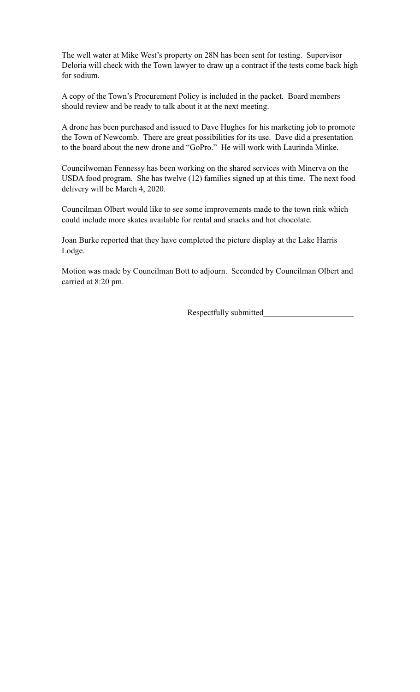The well water at Mike West's property on 28N has been sent for testing. Supervisor Deloria will check with the Town lawyer to draw up a contract if the tests come back high for sodium.

A copy of the Town's Procurement Policy is included in the packet. Board members should review and be ready to talk about it at the next meeting.

A drone has been purchased and issued to Dave Hughes for his marketing job to promote the Town of Newcomb. There are great possibilities for its use. Dave did a presentation to the board about the new drone and "GoPro." He will work with Laurinda Minke.

Councilwoman Fennessy has been working on the shared services with Minerva on the USDA food program. She has twelve (12) families signed up at this time. The next food delivery will be March 4, 2020.

Councilman Olbert would like to see some improvements made to the town rink which could include more skates available for rental and snacks and hot chocolate.

Joan Burke reported that they have completed the picture display at the Lake Harris Lodge.

Motion was made by Councilman Bott to adjourn. Seconded by Councilman Olbert and carried at 8:20 pm.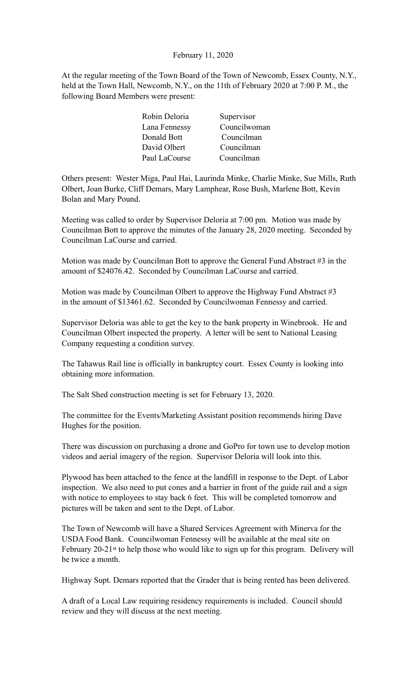February 11, 2020

At the regular meeting of the Town Board of the Town of Newcomb, Essex County, N.Y., held at the Town Hall, Newcomb, N.Y., on the 11th of February 2020 at 7:00 P. M., the following Board Members were present:

| Supervisor   |
|--------------|
| Councilwoman |
| Councilman   |
| Councilman   |
| Councilman   |
|              |

Others present: Wester Miga, Paul Hai, Laurinda Minke, Charlie Minke, Sue Mills, Ruth Olbert, Joan Burke, Cliff Demars, Mary Lamphear, Rose Bush, Marlene Bott, Kevin Bolan and Mary Pound.

Meeting was called to order by Supervisor Deloria at 7:00 pm. Motion was made by Councilman Bott to approve the minutes of the January 28, 2020 meeting. Seconded by Councilman LaCourse and carried.

Motion was made by Councilman Bott to approve the General Fund Abstract #3 in the amount of \$24076.42. Seconded by Councilman LaCourse and carried.

Motion was made by Councilman Olbert to approve the Highway Fund Abstract #3 in the amount of \$13461.62. Seconded by Councilwoman Fennessy and carried.

Supervisor Deloria was able to get the key to the bank property in Winebrook. He and Councilman Olbert inspected the property. A letter will be sent to National Leasing Company requesting a condition survey.

The Tahawus Rail line is officially in bankruptcy court. Essex County is looking into obtaining more information.

The Salt Shed construction meeting is set for February 13, 2020.

The committee for the Events/Marketing Assistant position recommends hiring Dave Hughes for the position.

There was discussion on purchasing a drone and GoPro for town use to develop motion videos and aerial imagery of the region. Supervisor Deloria will look into this.

Plywood has been attached to the fence at the landfill in response to the Dept. of Labor inspection. We also need to put cones and a barrier in front of the guide rail and a sign with notice to employees to stay back 6 feet. This will be completed tomorrow and pictures will be taken and sent to the Dept. of Labor.

The Town of Newcomb will have a Shared Services Agreement with Minerva for the USDA Food Bank. Councilwoman Fennessy will be available at the meal site on February 20-21<sup>st</sup> to help those who would like to sign up for this program. Delivery will be twice a month.

Highway Supt. Demars reported that the Grader that is being rented has been delivered.

A draft of a Local Law requiring residency requirements is included. Council should review and they will discuss at the next meeting.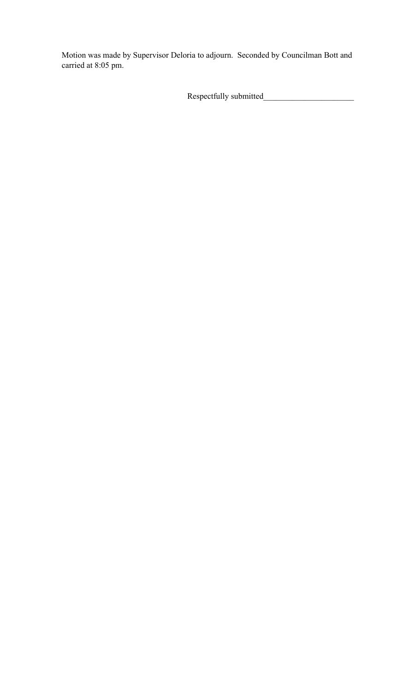Motion was made by Supervisor Deloria to adjourn. Seconded by Councilman Bott and carried at 8:05 pm.

Respectfully submitted\_\_\_\_\_\_\_\_\_\_\_\_\_\_\_\_\_\_\_\_\_\_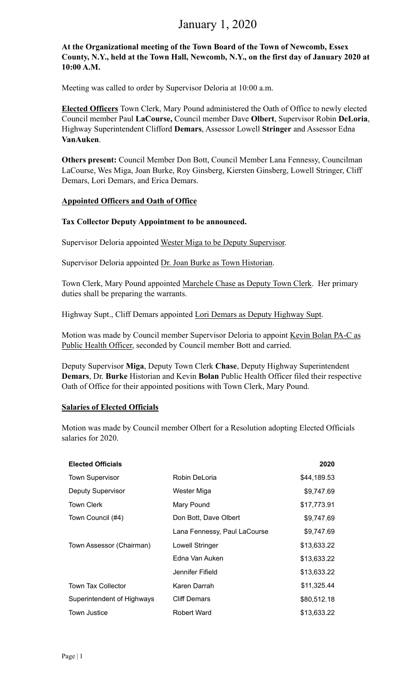# January 1, 2020

**At the Organizational meeting of the Town Board of the Town of Newcomb, Essex County, N.Y., held at the Town Hall, Newcomb, N.Y., on the first day of January 2020 at 10:00 A.M.** 

Meeting was called to order by Supervisor Deloria at 10:00 a.m.

**Elected Officers** Town Clerk, Mary Pound administered the Oath of Office to newly elected Council member Paul **LaCourse,** Council member Dave **Olbert**, Supervisor Robin **DeLoria**, Highway Superintendent Clifford **Demars**, Assessor Lowell **Stringer** and Assessor Edna **VanAuken**.

**Others present:** Council Member Don Bott, Council Member Lana Fennessy, Councilman LaCourse, Wes Miga, Joan Burke, Roy Ginsberg, Kiersten Ginsberg, Lowell Stringer, Cliff Demars, Lori Demars, and Erica Demars.

## **Appointed Officers and Oath of Office**

## **Tax Collector Deputy Appointment to be announced.**

Supervisor Deloria appointed Wester Miga to be Deputy Supervisor.

Supervisor Deloria appointed Dr. Joan Burke as Town Historian.

Town Clerk, Mary Pound appointed Marchele Chase as Deputy Town Clerk. Her primary duties shall be preparing the warrants.

Highway Supt., Cliff Demars appointed Lori Demars as Deputy Highway Supt.

Motion was made by Council member Supervisor Deloria to appoint Kevin Bolan PA-C as Public Health Officer, seconded by Council member Bott and carried.

Deputy Supervisor **Miga**, Deputy Town Clerk **Chase**, Deputy Highway Superintendent **Demars**, Dr. **Burke** Historian and Kevin **Bolan** Public Health Officer filed their respective Oath of Office for their appointed positions with Town Clerk, Mary Pound.

## **Salaries of Elected Officials**

Motion was made by Council member Olbert for a Resolution adopting Elected Officials salaries for 2020.

| <b>Elected Officials</b>   |                              | 2020        |
|----------------------------|------------------------------|-------------|
| <b>Town Supervisor</b>     | Robin DeLoria                | \$44,189.53 |
| <b>Deputy Supervisor</b>   | Wester Miga                  | \$9,747.69  |
| <b>Town Clerk</b>          | Mary Pound                   | \$17,773.91 |
| Town Council (#4)          | Don Bott, Dave Olbert        | \$9,747.69  |
|                            | Lana Fennessy, Paul LaCourse | \$9,747.69  |
| Town Assessor (Chairman)   | Lowell Stringer              | \$13,633.22 |
|                            | Edna Van Auken               | \$13,633.22 |
|                            | Jennifer Fifield             | \$13,633.22 |
| <b>Town Tax Collector</b>  | Karen Darrah                 | \$11,325.44 |
| Superintendent of Highways | <b>Cliff Demars</b>          | \$80,512.18 |
| <b>Town Justice</b>        | Robert Ward                  | \$13,633.22 |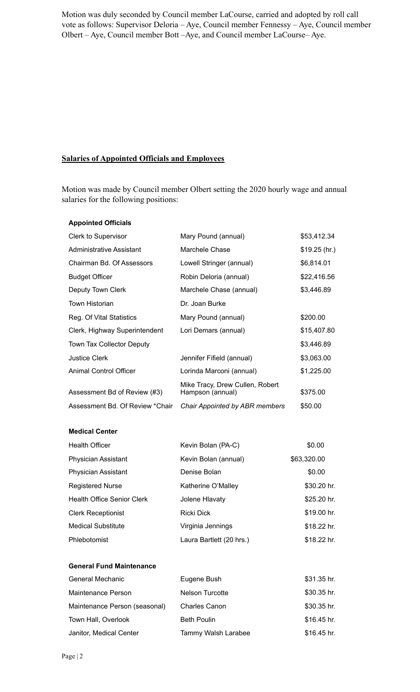Motion was duly seconded by Council member LaCourse, carried and adopted by roll call vote as follows: Supervisor Deloria – Aye, Council member Fennessy – Aye, Council member Olbert – Aye, Council member Bott –Aye, and Council member LaCourse– Aye.

## **Salaries of Appointed Officials and Employees**

Motion was made by Council member Olbert setting the 2020 hourly wage and annual salaries for the following positions:

### **Appointed Officials**

| Mary Pound (annual)                                 | \$53,412.34    |
|-----------------------------------------------------|----------------|
| Marchele Chase                                      | $$19.25$ (hr.) |
| Lowell Stringer (annual)                            | \$6,814.01     |
| Robin Deloria (annual)                              | \$22,416.56    |
| Marchele Chase (annual)                             | \$3,446.89     |
| Dr. Joan Burke                                      |                |
| Mary Pound (annual)                                 | \$200.00       |
| Lori Demars (annual)                                | \$15,407.80    |
|                                                     | \$3,446.89     |
| Jennifer Fifield (annual)                           | \$3,063.00     |
| Lorinda Marconi (annual)                            | \$1,225.00     |
| Mike Tracy, Drew Cullen, Robert<br>Hampson (annual) | \$375.00       |
| Chair Appointed by ABR members                      | \$50.00        |
|                                                     |                |

**Medical Center**

| <b>Health Officer</b>             | Kevin Bolan (PA-C)       | \$0.00      |
|-----------------------------------|--------------------------|-------------|
| <b>Physician Assistant</b>        | Kevin Bolan (annual)     | \$63,320.00 |
| <b>Physician Assistant</b>        | Denise Bolan             | \$0.00      |
| <b>Registered Nurse</b>           | Katherine O'Malley       | \$30.20 hr. |
| <b>Health Office Senior Clerk</b> | Jolene Hlavaty           | \$25.20 hr. |
| <b>Clerk Receptionist</b>         | <b>Ricki Dick</b>        | \$19.00 hr. |
| <b>Medical Substitute</b>         | Virginia Jennings        | \$18.22 hr. |
| <b>Phlebotomist</b>               | Laura Bartlett (20 hrs.) | \$18.22 hr. |

### **General Fund Maintenance**

| General Mechanic              | Eugene Bush          | $$31.35$ hr. |
|-------------------------------|----------------------|--------------|
| Maintenance Person            | Nelson Turcotte      | $$30.35$ hr. |
| Maintenance Person (seasonal) | <b>Charles Canon</b> | $$30.35$ hr. |
| Town Hall, Overlook           | <b>Beth Poulin</b>   | $$16.45$ hr. |
| Janitor, Medical Center       | Tammy Walsh Larabee  | $$16.45$ hr. |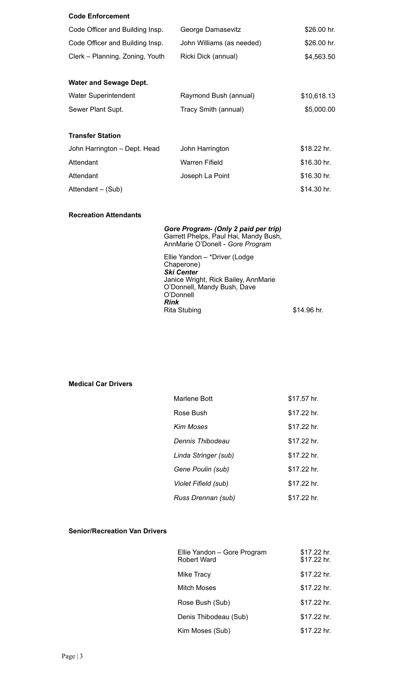| <b>Code Enforcement</b>         |                           |              |
|---------------------------------|---------------------------|--------------|
| Code Officer and Building Insp. | George Damasevitz         | $$26.00$ hr. |
| Code Officer and Building Insp. | John Williams (as needed) | \$26.00 hr.  |
| Clerk – Planning, Zoning, Youth | Ricki Dick (annual)       | \$4,563.50   |
|                                 |                           |              |
| <b>Water and Sewage Dept.</b>   |                           |              |
| <b>Water Superintendent</b>     | Raymond Bush (annual)     | \$10,618.13  |
| Sewer Plant Supt.               | Tracy Smith (annual)      | \$5,000.00   |
|                                 |                           |              |
| <b>Transfer Station</b>         |                           |              |
| John Harrington - Dept. Head    | John Harrington           | \$18.22 hr.  |
| Attendant                       | Warren Fifield            | \$16.30 hr.  |
| Attendant                       | Joseph La Point           | \$16.30 hr.  |
| Attendant – (Sub)               |                           | \$14.30 hr.  |

**Recreation Attendants**

*Gore Program- (Only 2 paid per trip)* Garrett Phelps, Paul Hai, Mandy Bush, AnnMarie O'Donell - *Gore Program* Ellie Yandon – \*Driver (Lodge Chaperone)

*Ski Center*  Janice Wright, Rick Bailey, AnnMarie O'Donnell, Mandy Bush, Dave O'Donnell *Rink*  Rita Stubing \$14.96 hr.

## **Medical Car Drivers**

| Marlene Bott         | \$17.57 hr. |
|----------------------|-------------|
| Rose Bush            | \$17.22 hr. |
| Kim Moses            | \$17.22 hr. |
| Dennis Thibodeau     | \$17.22 hr. |
| Linda Stringer (sub) | \$17.22 hr. |
| Gene Poulin (sub)    | \$17.22 hr. |
| Violet Fifield (sub) | \$17.22 hr. |
| Russ Drennan (sub)   | \$17.22 hr. |

#### **Senior/Recreation Van Drivers**

| Ellie Yandon - Gore Program<br>Robert Ward | \$17.22 hr.<br>\$17.22 hr. |
|--------------------------------------------|----------------------------|
| Mike Tracy                                 | \$17.22 hr.                |
| Mitch Moses                                | \$17.22 hr.                |
| Rose Bush (Sub)                            | \$17.22 hr.                |
| Denis Thibodeau (Sub)                      | \$17.22 hr.                |
| Kim Moses (Sub)                            | \$17.22 hr.                |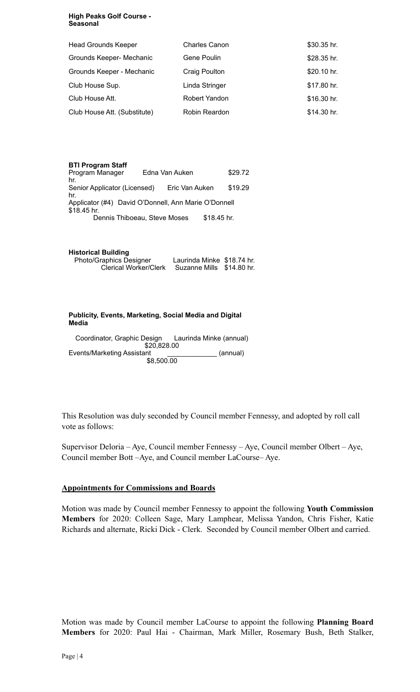#### **High Peaks Golf Course - Seasonal**

| <b>Head Grounds Keeper</b>   | <b>Charles Canon</b> | \$30.35 hr. |
|------------------------------|----------------------|-------------|
| Grounds Keeper- Mechanic     | Gene Poulin          | \$28.35 hr. |
| Grounds Keeper - Mechanic    | Craig Poulton        | \$20.10 hr. |
| Club House Sup.              | Linda Stringer       | \$17.80 hr. |
| Club House Att.              | Robert Yandon        | \$16.30 hr. |
| Club House Att. (Substitute) | Robin Reardon        | \$14.30 hr. |

| <b>BTI Program Staff</b><br>Program Manager<br>hr.                  | Edna Van Auken |                |              | \$29.72 |  |
|---------------------------------------------------------------------|----------------|----------------|--------------|---------|--|
| Senior Applicator (Licensed)<br>hr.                                 |                | Eric Van Auken |              | \$19.29 |  |
| Applicator (#4) David O'Donnell, Ann Marie O'Donnell<br>\$18.45 hr. |                |                |              |         |  |
| Dennis Thiboeau, Steve Moses                                        |                |                | $$18.45$ hr. |         |  |

| <b>Historical Building</b>     |                            |  |
|--------------------------------|----------------------------|--|
| <b>Photo/Graphics Designer</b> | Laurinda Minke \$18.74 hr. |  |
| <b>Clerical Worker/Clerk</b>   | Suzanne Mills \$14.80 hr.  |  |

**Publicity, Events, Marketing, Social Media and Digital Media** 

Coordinator, Graphic Design Laurinda Minke (annual) \$20,828.00 Events/Marketing Assistant \_\_\_\_\_\_\_\_\_\_\_\_\_\_\_ (annual) \$8,500.00

This Resolution was duly seconded by Council member Fennessy, and adopted by roll call vote as follows:

Supervisor Deloria – Aye, Council member Fennessy – Aye, Council member Olbert – Aye, Council member Bott –Aye, and Council member LaCourse– Aye.

## **Appointments for Commissions and Boards**

Motion was made by Council member Fennessy to appoint the following **Youth Commission Members** for 2020: Colleen Sage, Mary Lamphear, Melissa Yandon, Chris Fisher, Katie Richards and alternate, Ricki Dick - Clerk. Seconded by Council member Olbert and carried.

Motion was made by Council member LaCourse to appoint the following **Planning Board Members** for 2020: Paul Hai - Chairman, Mark Miller, Rosemary Bush, Beth Stalker,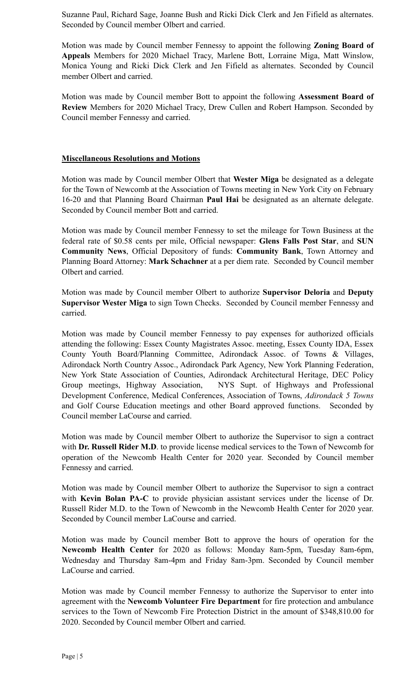Suzanne Paul, Richard Sage, Joanne Bush and Ricki Dick Clerk and Jen Fifield as alternates. Seconded by Council member Olbert and carried.

Motion was made by Council member Fennessy to appoint the following **Zoning Board of Appeals** Members for 2020 Michael Tracy, Marlene Bott, Lorraine Miga, Matt Winslow, Monica Young and Ricki Dick Clerk and Jen Fifield as alternates. Seconded by Council member Olbert and carried.

Motion was made by Council member Bott to appoint the following **Assessment Board of Review** Members for 2020 Michael Tracy, Drew Cullen and Robert Hampson. Seconded by Council member Fennessy and carried.

## **Miscellaneous Resolutions and Motions**

Motion was made by Council member Olbert that **Wester Miga** be designated as a delegate for the Town of Newcomb at the Association of Towns meeting in New York City on February 16-20 and that Planning Board Chairman **Paul Hai** be designated as an alternate delegate. Seconded by Council member Bott and carried.

Motion was made by Council member Fennessy to set the mileage for Town Business at the federal rate of \$0.58 cents per mile, Official newspaper: **Glens Falls Post Star**, and **SUN Community News**, Official Depository of funds: **Community Bank**, Town Attorney and Planning Board Attorney: **Mark Schachner** at a per diem rate. Seconded by Council member Olbert and carried.

Motion was made by Council member Olbert to authorize **Supervisor Deloria** and **Deputy Supervisor Wester Miga** to sign Town Checks. Seconded by Council member Fennessy and carried.

Motion was made by Council member Fennessy to pay expenses for authorized officials attending the following: Essex County Magistrates Assoc. meeting, Essex County IDA, Essex County Youth Board/Planning Committee, Adirondack Assoc. of Towns & Villages, Adirondack North Country Assoc., Adirondack Park Agency, New York Planning Federation, New York State Association of Counties, Adirondack Architectural Heritage, DEC Policy Group meetings, Highway Association, NYS Supt. of Highways and Professional Development Conference, Medical Conferences, Association of Towns, *Adirondack 5 Towns* and Golf Course Education meetings and other Board approved functions. Seconded by Council member LaCourse and carried.

Motion was made by Council member Olbert to authorize the Supervisor to sign a contract with **Dr. Russell Rider M.D**. to provide license medical services to the Town of Newcomb for operation of the Newcomb Health Center for 2020 year. Seconded by Council member Fennessy and carried.

Motion was made by Council member Olbert to authorize the Supervisor to sign a contract with **Kevin Bolan PA-C** to provide physician assistant services under the license of Dr. Russell Rider M.D. to the Town of Newcomb in the Newcomb Health Center for 2020 year. Seconded by Council member LaCourse and carried.

Motion was made by Council member Bott to approve the hours of operation for the **Newcomb Health Center** for 2020 as follows: Monday 8am-5pm, Tuesday 8am-6pm, Wednesday and Thursday 8am-4pm and Friday 8am-3pm. Seconded by Council member LaCourse and carried.

Motion was made by Council member Fennessy to authorize the Supervisor to enter into agreement with the **Newcomb Volunteer Fire Department** for fire protection and ambulance services to the Town of Newcomb Fire Protection District in the amount of \$348,810.00 for 2020. Seconded by Council member Olbert and carried.